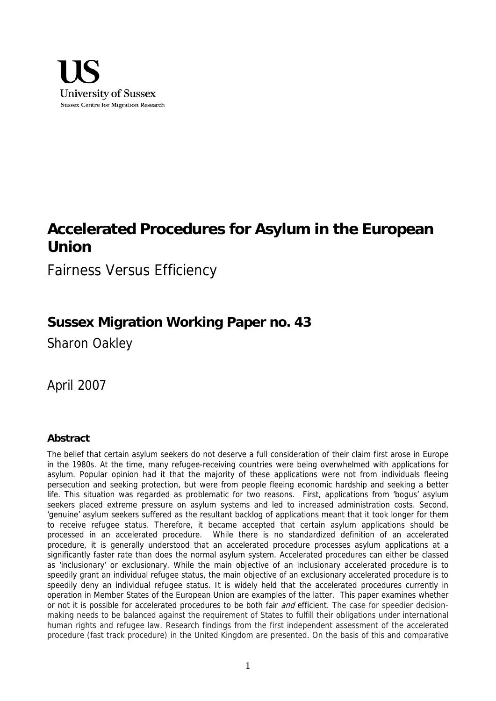

# **Accelerated Procedures for Asylum in the European Union**

Fairness Versus Efficiency

# **Sussex Migration Working Paper no. 43**

Sharon Oakley

April 2007

# **Abstract**

The belief that certain asylum seekers do not deserve a full consideration of their claim first arose in Europe in the 1980s. At the time, many refugee-receiving countries were being overwhelmed with applications for asylum. Popular opinion had it that the majority of these applications were not from individuals fleeing persecution and seeking protection, but were from people fleeing economic hardship and seeking a better life. This situation was regarded as problematic for two reasons. First, applications from 'bogus' asylum seekers placed extreme pressure on asylum systems and led to increased administration costs. Second, 'genuine' asylum seekers suffered as the resultant backlog of applications meant that it took longer for them to receive refugee status. Therefore, it became accepted that certain asylum applications should be processed in an accelerated procedure. While there is no standardized definition of an accelerated procedure, it is generally understood that an accelerated procedure processes asylum applications at a significantly faster rate than does the normal asylum system. Accelerated procedures can either be classed as 'inclusionary' or exclusionary. While the main objective of an inclusionary accelerated procedure is to speedily grant an individual refugee status, the main objective of an exclusionary accelerated procedure is to speedily deny an individual refugee status. It is widely held that the accelerated procedures currently in operation in Member States of the European Union are examples of the latter. This paper examines whether or not it is possible for accelerated procedures to be both fair and efficient. The case for speedier decisionmaking needs to be balanced against the requirement of States to fulfill their obligations under international human rights and refugee law. Research findings from the first independent assessment of the accelerated procedure (fast track procedure) in the United Kingdom are presented. On the basis of this and comparative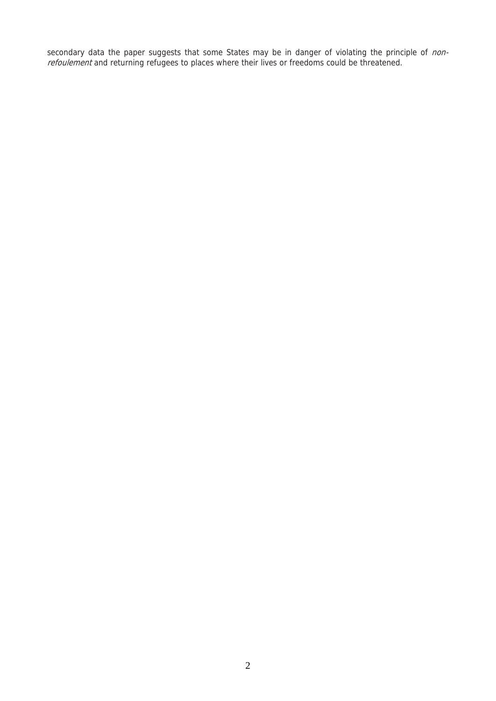secondary data the paper suggests that some States may be in danger of violating the principle of nonrefoulement and returning refugees to places where their lives or freedoms could be threatened.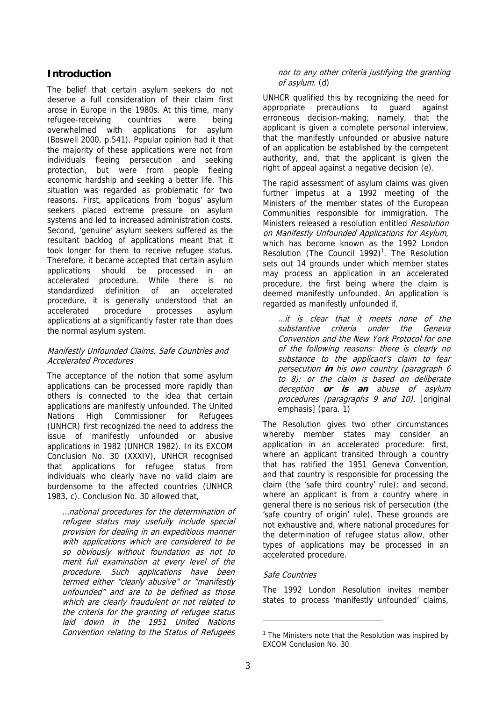# **Introduction**

The belief that certain asylum seekers do not deserve a full consideration of their claim first arose in Europe in the 1980s. At this time, many refugee-receiving countries were being overwhelmed with applications for asylum (Boswell 2000, p.541). Popular opinion had it that the majority of these applications were not from individuals fleeing persecution and seeking protection, but were from people fleeing economic hardship and seeking a better life. This situation was regarded as problematic for two reasons. First, applications from 'bogus' asylum seekers placed extreme pressure on asylum systems and led to increased administration costs. Second, 'genuine' asylum seekers suffered as the resultant backlog of applications meant that it took longer for them to receive refugee status. Therefore, it became accepted that certain asylum applications should be processed in an accelerated procedure. While there is no standardized definition of an accelerated procedure, it is generally understood that an accelerated procedure processes asylum applications at a significantly faster rate than does the normal asylum system.

#### Manifestly Unfounded Claims, Safe Countries and Accelerated Procedures

The acceptance of the notion that some asylum applications can be processed more rapidly than others is connected to the idea that certain applications are manifestly unfounded. The United Nations High Commissioner for Refugees (UNHCR) first recognized the need to address the issue of manifestly unfounded or abusive applications in 1982 (UNHCR 1982). In its EXCOM Conclusion No. 30 (XXXIV), UNHCR recognised that applications for refugee status from individuals who clearly have no valid claim are burdensome to the affected countries (UNHCR 1983, c). Conclusion No. 30 allowed that,

…national procedures for the determination of refugee status may usefully include special provision for dealing in an expeditious manner with applications which are considered to be so obviously without foundation as not to merit full examination at every level of the procedure. Such applications have been termed either "clearly abusive" or "manifestly unfounded" and are to be defined as those which are clearly fraudulent or not related to the criteria for the granting of refugee status laid down in the 1951 United Nations Convention relating to the Status of Refugees

#### nor to any other criteria justifying the granting of asylum. (d)

UNHCR qualified this by recognizing the need for appropriate precautions to guard against erroneous decision-making; namely, that the applicant is given a complete personal interview, that the manifestly unfounded or abusive nature of an application be established by the competent authority, and, that the applicant is given the right of appeal against a negative decision (e).

The rapid assessment of asylum claims was given further impetus at a 1992 meeting of the Ministers of the member states of the European Communities responsible for immigration. The Ministers released a resolution entitled Resolution on Manifestly Unfounded Applications for Asylum, which has become known as the 1992 London Resolution (The Council 1992)<sup>1</sup>. The Resolution sets out 14 grounds under which member states may process an application in an accelerated procedure, the first being where the claim is deemed manifestly unfounded. An application is regarded as manifestly unfounded if,

…it is clear that it meets none of the substantive criteria under the Geneva Convention and the New York Protocol for one of the following reasons: there is clearly no substance to the applicant's claim to fear persecution **in** his own country (paragraph 6 to 8); or the claim is based on deliberate deception **or is an** abuse of asylum procedures (paragraphs 9 and 10). [original emphasis] (para. 1)

The Resolution gives two other circumstances whereby member states may consider an application in an accelerated procedure: first, where an applicant transited through a country that has ratified the 1951 Geneva Convention, and that country is responsible for processing the claim (the 'safe third country' rule); and second, where an applicant is from a country where in general there is no serious risk of persecution (the 'safe country of origin' rule). These grounds are not exhaustive and, where national procedures for the determination of refugee status allow, other types of applications may be processed in an accelerated procedure.

## Safe Countries

The 1992 London Resolution invites member states to process 'manifestly unfounded' claims,

 $1$  The Ministers note that the Resolution was inspired by EXCOM Conclusion No. 30.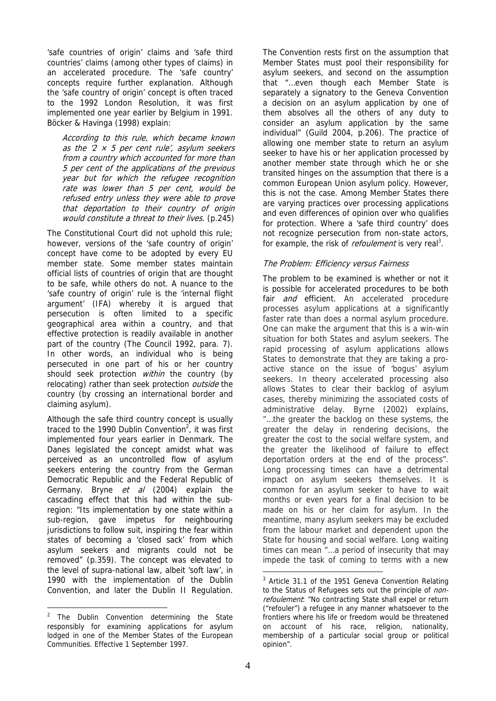'safe countries of origin' claims and 'safe third countries' claims (among other types of claims) in an accelerated procedure. The 'safe country' concepts require further explanation. Although the 'safe country of origin' concept is often traced to the 1992 London Resolution, it was first implemented one year earlier by Belgium in 1991. Böcker & Havinga (1998) explain:

According to this rule, which became known as the  $2 \times 5$  per cent rule', asylum seekers from a country which accounted for more than 5 per cent of the applications of the previous year but for which the refugee recognition rate was lower than 5 per cent, would be refused entry unless they were able to prove that deportation to their country of origin would constitute a threat to their lives. (p.245)

The Constitutional Court did not uphold this rule; however, versions of the 'safe country of origin' concept have come to be adopted by every EU member state. Some member states maintain official lists of countries of origin that are thought to be safe, while others do not. A nuance to the 'safe country of origin' rule is the 'internal flight argument' (IFA) whereby it is argued that persecution is often limited to a specific geographical area within a country, and that effective protection is readily available in another part of the country (The Council 1992, para. 7). In other words, an individual who is being persecuted in one part of his or her country should seek protection *within* the country (by relocating) rather than seek protection outside the country (by crossing an international border and claiming asylum).

Although the safe third country concept is usually traced to the 1990 Dublin Convention<sup>2</sup>, it was first implemented four years earlier in Denmark. The Danes legislated the concept amidst what was perceived as an uncontrolled flow of asylum seekers entering the country from the German Democratic Republic and the Federal Republic of Germany. Bryne et al (2004) explain the cascading effect that this had within the subregion: "Its implementation by one state within a sub-region, gave impetus for neighbouring jurisdictions to follow suit, inspiring the fear within states of becoming a 'closed sack' from which asylum seekers and migrants could not be removed" (p.359). The concept was elevated to the level of supra-national law, albeit 'soft law', in 1990 with the implementation of the Dublin Convention, and later the Dublin II Regulation.

 $\overline{a}$ 

The Convention rests first on the assumption that Member States must pool their responsibility for asylum seekers, and second on the assumption that "…even though each Member State is separately a signatory to the Geneva Convention a decision on an asylum application by one of them absolves all the others of any duty to consider an asylum application by the same individual" (Guild 2004, p.206). The practice of allowing one member state to return an asylum seeker to have his or her application processed by another member state through which he or she transited hinges on the assumption that there is a common European Union asylum policy. However, this is not the case. Among Member States there are varying practices over processing applications and even differences of opinion over who qualifies for protection. Where a 'safe third country' does not recognize persecution from non-state actors, for example, the risk of *refoulement* is very real<sup>3</sup>.

## The Problem: Efficiency versus Fairness

The problem to be examined is whether or not it is possible for accelerated procedures to be both fair *and* efficient. An accelerated procedure processes asylum applications at a significantly faster rate than does a normal asylum procedure. One can make the argument that this is a win-win situation for both States and asylum seekers. The rapid processing of asylum applications allows States to demonstrate that they are taking a proactive stance on the issue of 'bogus' asylum seekers. In theory accelerated processing also allows States to clear their backlog of asylum cases, thereby minimizing the associated costs of administrative delay. Byrne (2002) explains, "…the greater the backlog on these systems, the greater the delay in rendering decisions, the greater the cost to the social welfare system, and the greater the likelihood of failure to effect deportation orders at the end of the process". Long processing times can have a detrimental impact on asylum seekers themselves. It is common for an asylum seeker to have to wait months or even years for a final decision to be made on his or her claim for asylum. In the meantime, many asylum seekers may be excluded from the labour market and dependent upon the State for housing and social welfare. Long waiting times can mean "…a period of insecurity that may impede the task of coming to terms with a new

<sup>&</sup>lt;sup>2</sup> The Dublin Convention determining the State responsibly for examining applications for asylum lodged in one of the Member States of the European Communities. Effective 1 September 1997.

 $3$  Article 31.1 of the 1951 Geneva Convention Relating to the Status of Refugees sets out the principle of nonrefoulement: "No contracting State shall expel or return ("refouler") a refugee in any manner whatsoever to the frontiers where his life or freedom would be threatened on account of his race, religion, nationality, membership of a particular social group or political opinion".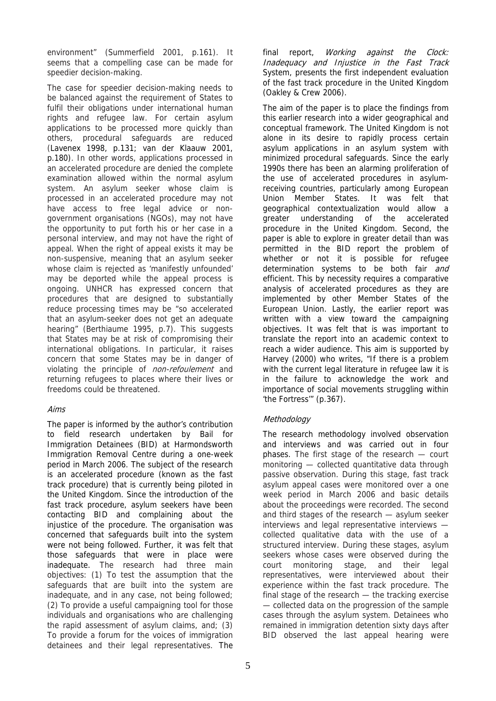environment" (Summerfield 2001, p.161). It seems that a compelling case can be made for speedier decision-making.

The case for speedier decision-making needs to be balanced against the requirement of States to fulfil their obligations under international human rights and refugee law. For certain asylum applications to be processed more quickly than others, procedural safeguards are reduced (Lavenex 1998, p.131; van der Klaauw 2001, p.180). In other words, applications processed in an accelerated procedure are denied the complete examination allowed within the normal asylum system. An asylum seeker whose claim is processed in an accelerated procedure may not have access to free legal advice or nongovernment organisations (NGOs), may not have the opportunity to put forth his or her case in a personal interview, and may not have the right of appeal. When the right of appeal exists it may be non-suspensive, meaning that an asylum seeker whose claim is rejected as 'manifestly unfounded' may be deported while the appeal process is ongoing. UNHCR has expressed concern that procedures that are designed to substantially reduce processing times may be "so accelerated that an asylum-seeker does not get an adequate hearing" (Berthiaume 1995, p.7). This suggests that States may be at risk of compromising their international obligations. In particular, it raises concern that some States may be in danger of violating the principle of non-refoulement and returning refugees to places where their lives or freedoms could be threatened.

## Aims

The paper is informed by the author's contribution to field research undertaken by Bail for Immigration Detainees (BID) at Harmondsworth Immigration Removal Centre during a one-week period in March 2006. The subject of the research is an accelerated procedure (known as the fast track procedure) that is currently being piloted in the United Kingdom. Since the introduction of the fast track procedure, asylum seekers have been contacting BID and complaining about the injustice of the procedure. The organisation was concerned that safeguards built into the system were not being followed. Further, it was felt that those safeguards that were in place were inadequate. The research had three main objectives: (1) To test the assumption that the safeguards that are built into the system are inadequate, and in any case, not being followed; (2) To provide a useful campaigning tool for those individuals and organisations who are challenging the rapid assessment of asylum claims, and; (3) To provide a forum for the voices of immigration detainees and their legal representatives. The

final report, *Working against the Clock:* Inadequacy and Injustice in the Fast Track System, presents the first independent evaluation of the fast track procedure in the United Kingdom (Oakley & Crew 2006).

The aim of the paper is to place the findings from this earlier research into a wider geographical and conceptual framework. The United Kingdom is not alone in its desire to rapidly process certain asylum applications in an asylum system with minimized procedural safeguards. Since the early 1990s there has been an alarming proliferation of the use of accelerated procedures in asylumreceiving countries, particularly among European Union Member States. It was felt that geographical contextualization would allow a greater understanding of the accelerated procedure in the United Kingdom. Second, the paper is able to explore in greater detail than was permitted in the BID report the problem of whether or not it is possible for refugee determination systems to be both fair and efficient. This by necessity requires a comparative analysis of accelerated procedures as they are implemented by other Member States of the European Union. Lastly, the earlier report was written with a view toward the campaigning objectives. It was felt that is was important to translate the report into an academic context to reach a wider audience. This aim is supported by Harvey (2000) who writes, "If there is a problem with the current legal literature in refugee law it is in the failure to acknowledge the work and importance of social movements struggling within 'the Fortress'" (p.367).

## **Methodology**

The research methodology involved observation and interviews and was carried out in four phases. The first stage of the research — court monitoring — collected quantitative data through passive observation. During this stage, fast track asylum appeal cases were monitored over a one week period in March 2006 and basic details about the proceedings were recorded. The second and third stages of the research — asylum seeker interviews and legal representative interviews collected qualitative data with the use of a structured interview. During these stages, asylum seekers whose cases were observed during the court monitoring stage, and their legal representatives, were interviewed about their experience within the fast track procedure. The final stage of the research — the tracking exercise — collected data on the progression of the sample cases through the asylum system. Detainees who remained in immigration detention sixty days after BID observed the last appeal hearing were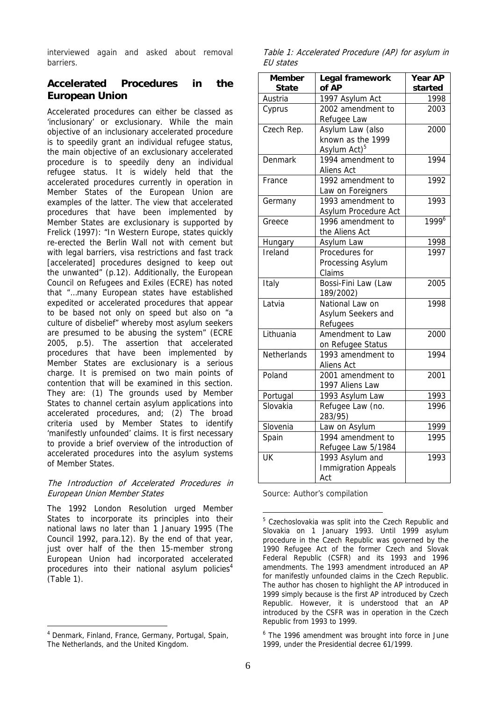interviewed again and asked about removal barriers.

# **Accelerated Procedures in the European Union**

Accelerated procedures can either be classed as 'inclusionary' or exclusionary. While the main objective of an inclusionary accelerated procedure is to speedily grant an individual refugee status, the main objective of an exclusionary accelerated procedure is to speedily deny an individual refugee status. It is widely held that the accelerated procedures currently in operation in Member States of the European Union are examples of the latter. The view that accelerated procedures that have been implemented by Member States are exclusionary is supported by Frelick (1997): "In Western Europe, states quickly re-erected the Berlin Wall not with cement but with legal barriers, visa restrictions and fast track [accelerated] procedures designed to keep out the unwanted" (p.12). Additionally, the European Council on Refugees and Exiles (ECRE) has noted that "…many European states have established expedited or accelerated procedures that appear to be based not only on speed but also on "a culture of disbelief" whereby most asylum seekers are presumed to be abusing the system" (ECRE 2005, p.5). The assertion that accelerated procedures that have been implemented by Member States are exclusionary is a serious charge. It is premised on two main points of contention that will be examined in this section. They are: (1) The grounds used by Member States to channel certain asylum applications into accelerated procedures, and; (2) The broad criteria used by Member States to identify 'manifestly unfounded' claims. It is first necessary to provide a brief overview of the introduction of accelerated procedures into the asylum systems of Member States.

#### The Introduction of Accelerated Procedures in European Union Member States

The 1992 London Resolution urged Member States to incorporate its principles into their national laws no later than 1 January 1995 (The Council 1992, para.12). By the end of that year, just over half of the then 15-member strong European Union had incorporated accelerated procedures into their national asylum policies $4$ (Table 1).

 $\overline{a}$ 

Table 1: Accelerated Procedure (AP) for asylum in EU states

| <b>Member</b><br><b>State</b> | Legal framework<br>of AP            |                 |
|-------------------------------|-------------------------------------|-----------------|
| Austria                       | 1997 Asylum Act                     | started<br>1998 |
| Cyprus                        | 2002 amendment to                   | 2003            |
|                               | Refugee Law                         |                 |
| Czech Rep.                    | Asylum Law (also                    | 2000            |
|                               | known as the 1999                   |                 |
|                               | Asylum Act) <sup>5</sup>            |                 |
| <b>Denmark</b>                | 1994 amendment to                   | 1994            |
|                               | Aliens Act                          |                 |
| France                        | 1992 amendment to                   | 1992            |
|                               | Law on Foreigners                   |                 |
| Germany                       | 1993 amendment to                   | 1993            |
|                               | Asylum Procedure Act                |                 |
| Greece                        | 1996 amendment to                   | 19996           |
|                               | the Aliens Act                      |                 |
| <b>Hungary</b>                | Asylum Law                          | 1998            |
| Ireland                       | Procedures for                      | 1997            |
|                               | Processing Asylum                   |                 |
|                               | Claims                              |                 |
| Italy                         | Bossi-Fini Law (Law                 | 2005            |
|                               | 189/2002)                           |                 |
| Latvia                        | National Law on                     | 1998            |
|                               | Asylum Seekers and                  |                 |
|                               | Refugees                            |                 |
| Lithuania                     | Amendment to Law                    | 2000            |
|                               | on Refugee Status                   |                 |
| Netherlands                   | 1993 amendment to                   | 1994            |
|                               | Aliens Act                          |                 |
| Poland                        | 2001 amendment to                   | 2001            |
|                               | 1997 Aliens Law                     |                 |
| Portugal<br>Slovakia          | 1993 Asylum Law<br>Refugee Law (no. | 1993<br>1996    |
|                               | 283/95)                             |                 |
| Slovenia                      | Law on Asylum                       | 1999            |
| Spain                         | 1994 amendment to                   | 1995            |
|                               | Refugee Law 5/1984                  |                 |
| UK                            | 1993 Asylum and                     | 1993            |
|                               | <b>Immigration Appeals</b>          |                 |
|                               | Act                                 |                 |

Source: Author's compilation

<sup>6</sup> The 1996 amendment was brought into force in June 1999, under the Presidential decree 61/1999.

<sup>4</sup> Denmark, Finland, France, Germany, Portugal, Spain, The Netherlands, and the United Kingdom.

<sup>&</sup>lt;sup>5</sup> Czechoslovakia was split into the Czech Republic and Slovakia on 1 January 1993. Until 1999 asylum procedure in the Czech Republic was governed by the 1990 Refugee Act of the former Czech and Slovak Federal Republic (CSFR) and its 1993 and 1996 amendments. The 1993 amendment introduced an AP for manifestly unfounded claims in the Czech Republic. The author has chosen to highlight the AP introduced in 1999 simply because is the first AP introduced by Czech Republic. However, it is understood that an AP introduced by the CSFR was in operation in the Czech Republic from 1993 to 1999.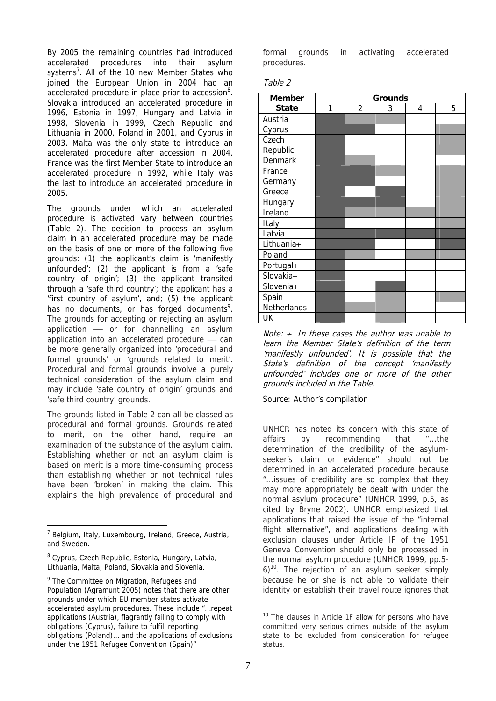By 2005 the remaining countries had introduced accelerated procedures into their asylum systems<sup>7</sup>. All of the 10 new Member States who joined the European Union in 2004 had an accelerated procedure in place prior to accession<sup>8</sup>. Slovakia introduced an accelerated procedure in 1996, Estonia in 1997, Hungary and Latvia in 1998, Slovenia in 1999, Czech Republic and Lithuania in 2000, Poland in 2001, and Cyprus in 2003. Malta was the only state to introduce an accelerated procedure after accession in 2004. France was the first Member State to introduce an accelerated procedure in 1992, while Italy was the last to introduce an accelerated procedure in 2005.

The grounds under which an accelerated procedure is activated vary between countries (Table 2). The decision to process an asylum claim in an accelerated procedure may be made on the basis of one or more of the following five grounds: (1) the applicant's claim is 'manifestly unfounded'; (2) the applicant is from a 'safe country of origin'; (3) the applicant transited through a 'safe third country'; the applicant has a 'first country of asylum', and; (5) the applicant has no documents, or has forged documents<sup>9</sup>. The grounds for accepting or rejecting an asylum application  $-$  or for channelling an asylum application into an accelerated procedure  $-$  can be more generally organized into 'procedural and formal grounds' or 'grounds related to merit'. Procedural and formal grounds involve a purely technical consideration of the asylum claim and may include 'safe country of origin' grounds and 'safe third country' grounds.

The grounds listed in Table 2 can all be classed as procedural and formal grounds. Grounds related to merit, on the other hand, require an examination of the substance of the asylum claim. Establishing whether or not an asylum claim is based on merit is a more time-consuming process than establishing whether or not technical rules have been 'broken' in making the claim. This explains the high prevalence of procedural and

<sup>8</sup> Cyprus, Czech Republic, Estonia, Hungary, Latvia, Lithuania, Malta, Poland, Slovakia and Slovenia.

 $\overline{a}$ 

formal grounds in activating accelerated procedures.

| ,, |
|----|
|----|

| <b>Member</b> | <b>Grounds</b> |                |   |   |   |
|---------------|----------------|----------------|---|---|---|
| <b>State</b>  | 1              | $\overline{2}$ | 3 | 4 | 5 |
| Austria       |                |                |   |   |   |
| Cyprus        |                |                |   |   |   |
| Czech         |                |                |   |   |   |
| Republic      |                |                |   |   |   |
| Denmark       |                |                |   |   |   |
| France        |                |                |   |   |   |
| Germany       |                |                |   |   |   |
| Greece        |                |                |   |   |   |
| Hungary       |                |                |   |   |   |
| Ireland       |                |                |   |   |   |
| Italy         |                |                |   |   |   |
| Latvia        |                |                |   |   |   |
| Lithuania+    |                |                |   |   |   |
| Poland        |                |                |   |   |   |
| Portugal+     |                |                |   |   |   |
| Slovakia+     |                |                |   |   |   |
| Slovenia+     |                |                |   |   |   |
| Spain         |                |                |   |   |   |
| Netherlands   |                |                |   |   |   |
| UK            |                |                |   |   |   |

Note:  $+$  In these cases the author was unable to learn the Member State's definition of the term 'manifestly unfounded'. It is possible that the State's definition of the concept 'manifestly unfounded' includes one or more of the other grounds included in the Table.

Source: Author's compilation

UNHCR has noted its concern with this state of affairs by recommending that "...the determination of the credibility of the asylumseeker's claim or evidence" should not be determined in an accelerated procedure because "...issues of credibility are so complex that they may more appropriately be dealt with under the normal asylum procedure" (UNHCR 1999, p.5, as cited by Bryne 2002). UNHCR emphasized that applications that raised the issue of the "internal flight alternative", and applications dealing with exclusion clauses under Article IF of the 1951 Geneva Convention should only be processed in the normal asylum procedure (UNHCR 1999, pp.5-  $6$ <sup>10</sup>. The rejection of an asylum seeker simply because he or she is not able to validate their identity or establish their travel route ignores that

<sup>&</sup>lt;sup>7</sup> Belgium, Italy, Luxembourg, Ireland, Greece, Austria, and Sweden.

<sup>&</sup>lt;sup>9</sup> The Committee on Migration, Refugees and Population (Agramunt 2005) notes that there are other grounds under which EU member states activate accelerated asylum procedures. These include "…repeat applications (Austria), flagrantly failing to comply with obligations (Cyprus), failure to fulfill reporting obligations (Poland)… and the applications of exclusions under the 1951 Refugee Convention (Spain)"

<sup>&</sup>lt;sup>10</sup> The clauses in Article 1F allow for persons who have committed very serious crimes outside of the asylum state to be excluded from consideration for refugee status.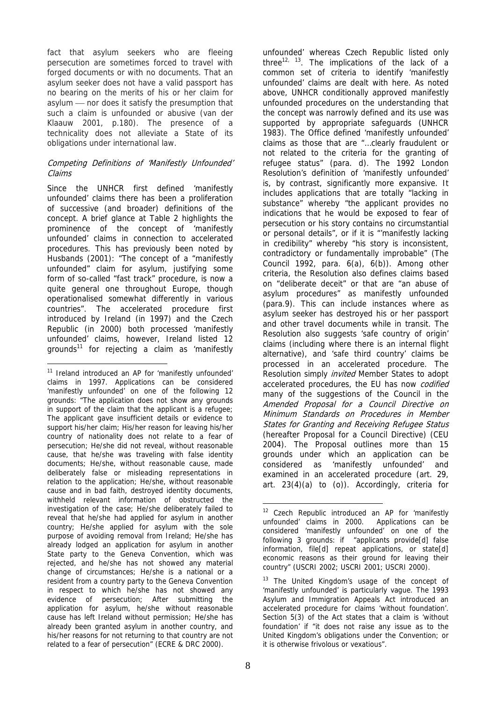fact that asylum seekers who are fleeing persecution are sometimes forced to travel with forged documents or with no documents. That an asylum seeker does not have a valid passport has no bearing on the merits of his or her claim for asylum - nor does it satisfy the presumption that such a claim is unfounded or abusive (van der Klaauw 2001, p.180). The presence of a technicality does not alleviate a State of its obligations under international law.

## Competing Definitions of 'Manifestly Unfounded' Claims

Since the UNHCR first defined 'manifestly unfounded' claims there has been a proliferation of successive (and broader) definitions of the concept. A brief glance at Table 2 highlights the prominence of the concept of 'manifestly unfounded' claims in connection to accelerated procedures. This has previously been noted by Husbands (2001): "The concept of a "manifestly unfounded" claim for asylum, justifying some form of so-called "fast track" procedure, is now a quite general one throughout Europe, though operationalised somewhat differently in various countries". The accelerated procedure first introduced by Ireland (in 1997) and the Czech Republic (in 2000) both processed 'manifestly unfounded' claims, however, Ireland listed 12 grounds<sup>11</sup> for rejecting a claim as 'manifestly

 $\overline{a}$ 

unfounded' whereas Czech Republic listed only three<sup>12, 13</sup>. The implications of the lack of a common set of criteria to identify 'manifestly unfounded' claims are dealt with here. As noted above, UNHCR conditionally approved manifestly unfounded procedures on the understanding that the concept was narrowly defined and its use was supported by appropriate safeguards (UNHCR 1983). The Office defined 'manifestly unfounded' claims as those that are "…clearly fraudulent or not related to the criteria for the granting of refugee status" (para. d). The 1992 London Resolution's definition of 'manifestly unfounded' is, by contrast, significantly more expansive. It includes applications that are totally "lacking in substance" whereby "the applicant provides no indications that he would be exposed to fear of persecution or his story contains no circumstantial or personal details", or if it is "'manifestly lacking in credibility" whereby "his story is inconsistent, contradictory or fundamentally improbable" (The Council 1992, para.  $6(a)$ ,  $6(b)$ ). Among other criteria, the Resolution also defines claims based on "deliberate deceit" or that are "an abuse of asylum procedures" as manifestly unfounded (para.9). This can include instances where as asylum seeker has destroyed his or her passport and other travel documents while in transit. The Resolution also suggests 'safe country of origin' claims (including where there is an internal flight alternative), and 'safe third country' claims be processed in an accelerated procedure. The Resolution simply *invited* Member States to adopt accelerated procedures, the EU has now codified many of the suggestions of the Council in the Amended Proposal for a Council Directive on Minimum Standards on Procedures in Member States for Granting and Receiving Refugee Status (hereafter Proposal for a Council Directive) (CEU 2004). The Proposal outlines more than 15 grounds under which an application can be considered as 'manifestly unfounded' and examined in an accelerated procedure (art. 29, art. 23(4)(a) to (o)). Accordingly, criteria for

<sup>&</sup>lt;sup>11</sup> Ireland introduced an AP for 'manifestly unfounded' claims in 1997. Applications can be considered 'manifestly unfounded' on one of the following 12 grounds: "The application does not show any grounds in support of the claim that the applicant is a refugee; The applicant gave insufficient details or evidence to support his/her claim; His/her reason for leaving his/her country of nationality does not relate to a fear of persecution; He/she did not reveal, without reasonable cause, that he/she was traveling with false identity documents; He/she, without reasonable cause, made deliberately false or misleading representations in relation to the application; He/she, without reasonable cause and in bad faith, destroyed identity documents, withheld relevant information of obstructed the investigation of the case; He/she deliberately failed to reveal that he/she had applied for asylum in another country; He/she applied for asylum with the sole purpose of avoiding removal from Ireland; He/she has already lodged an application for asylum in another State party to the Geneva Convention, which was rejected, and he/she has not showed any material change of circumstances; He/she is a national or a resident from a country party to the Geneva Convention in respect to which he/she has not showed any evidence of persecution; After submitting the application for asylum, he/she without reasonable cause has left Ireland without permission; He/she has already been granted asylum in another country, and his/her reasons for not returning to that country are not related to a fear of persecution" (ECRE & DRC 2000).

<sup>1</sup> <sup>12</sup> Czech Republic introduced an AP for 'manifestly unfounded' claims in 2000. Applications can be considered 'manifestly unfounded' on one of the following 3 grounds: if "applicants provide[d] false information, file[d] repeat applications, or state[d] economic reasons as their ground for leaving their country" (USCRI 2002; USCRI 2001; USCRI 2000).

<sup>&</sup>lt;sup>13</sup> The United Kingdom's usage of the concept of 'manifestly unfounded' is particularly vague. The 1993 Asylum and Immigration Appeals Act introduced an accelerated procedure for claims 'without foundation'. Section 5(3) of the Act states that a claim is 'without foundation' if "it does not raise any issue as to the United Kingdom's obligations under the Convention; or it is otherwise frivolous or vexatious".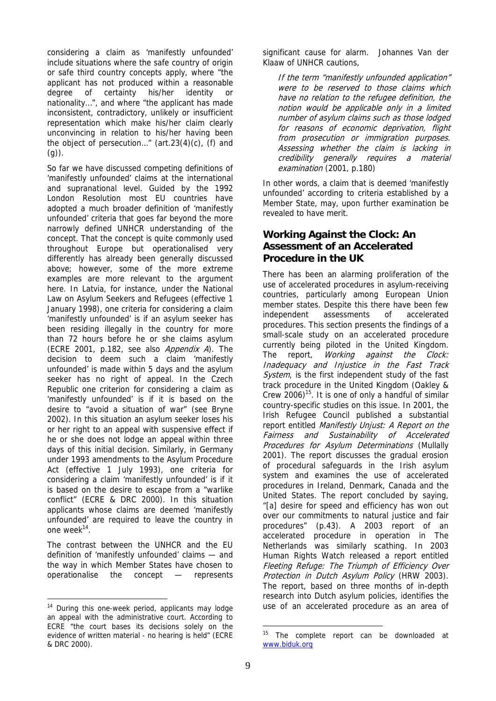considering a claim as 'manifestly unfounded' include situations where the safe country of origin or safe third country concepts apply, where "the applicant has not produced within a reasonable degree of certainty his/her identity or nationality…", and where "the applicant has made inconsistent, contradictory, unlikely or insufficient representation which make his/her claim clearly unconvincing in relation to his/her having been the object of persecution…" (art.23(4)(c), (f) and  $(g)$ ).

So far we have discussed competing definitions of 'manifestly unfounded' claims at the international and supranational level. Guided by the 1992 London Resolution most EU countries have adopted a much broader definition of 'manifestly unfounded' criteria that goes far beyond the more narrowly defined UNHCR understanding of the concept. That the concept is quite commonly used throughout Europe but operationalised very differently has already been generally discussed above; however, some of the more extreme examples are more relevant to the argument here. In Latvia, for instance, under the National Law on Asylum Seekers and Refugees (effective 1 January 1998), one criteria for considering a claim 'manifestly unfounded' is if an asylum seeker has been residing illegally in the country for more than 72 hours before he or she claims asylum (ECRE 2001, p.182, see also Appendix A). The decision to deem such a claim 'manifestly unfounded' is made within 5 days and the asylum seeker has no right of appeal. In the Czech Republic one criterion for considering a claim as 'manifestly unfounded' is if it is based on the desire to "avoid a situation of war" (see Bryne 2002). In this situation an asylum seeker loses his or her right to an appeal with suspensive effect if he or she does not lodge an appeal within three days of this initial decision. Similarly, in Germany under 1993 amendments to the Asylum Procedure Act (effective 1 July 1993), one criteria for considering a claim 'manifestly unfounded' is if it is based on the desire to escape from a "warlike conflict" (ECRE & DRC 2000). In this situation applicants whose claims are deemed 'manifestly unfounded' are required to leave the country in one week<sup>14</sup>.

The contrast between the UNHCR and the EU definition of 'manifestly unfounded' claims — and the way in which Member States have chosen to operationalise the concept — represents

 $\overline{a}$ 

significant cause for alarm. Johannes Van der Klaaw of UNHCR cautions,

If the term "manifestly unfounded application" were to be reserved to those claims which have no relation to the refugee definition, the notion would be applicable only in a limited number of asylum claims such as those lodged for reasons of economic deprivation, flight from prosecution or immigration purposes. Assessing whether the claim is lacking in credibility generally requires a material examination (2001, p.180)

In other words, a claim that is deemed 'manifestly unfounded' according to criteria established by a Member State, may, upon further examination be revealed to have merit.

# **Working Against the Clock: An Assessment of an Accelerated Procedure in the UK**

There has been an alarming proliferation of the use of accelerated procedures in asylum-receiving countries, particularly among European Union member states. Despite this there have been few independent assessments of accelerated procedures. This section presents the findings of a small-scale study on an accelerated procedure currently being piloted in the United Kingdom. The report, *Working against the Clock:* Inadequacy and Injustice in the Fast Track System, is the first independent study of the fast track procedure in the United Kingdom (Oakley & Crew 2006)<sup>15</sup>. It is one of only a handful of similar country-specific studies on this issue. In 2001, the Irish Refugee Council published a substantial report entitled Manifestly Unjust: A Report on the Fairness and Sustainability of Accelerated Procedures for Asylum Determinations (Mullally 2001). The report discusses the gradual erosion of procedural safeguards in the Irish asylum system and examines the use of accelerated procedures in Ireland, Denmark, Canada and the United States. The report concluded by saying, "[a] desire for speed and efficiency has won out over our commitments to natural justice and fair procedures" (p.43). A 2003 report of an accelerated procedure in operation in The Netherlands was similarly scathing. In 2003 Human Rights Watch released a report entitled Fleeting Refuge: The Triumph of Efficiency Over Protection in Dutch Asylum Policy (HRW 2003). The report, based on three months of in-depth research into Dutch asylum policies, identifies the use of an accelerated procedure as an area of

 $14$  During this one-week period, applicants may lodge an appeal with the administrative court. According to ECRE "the court bases its decisions solely on the evidence of written material - no hearing is held" (ECRE & DRC 2000).

The complete report can be downloaded at [www.biduk.org](http://www.biduk.org)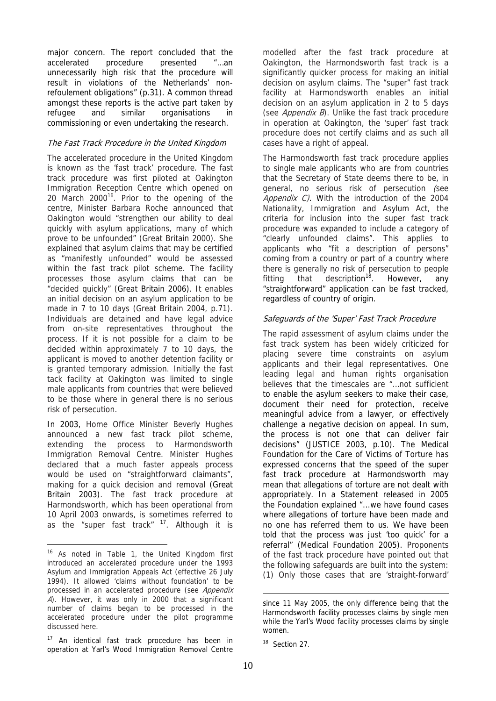major concern. The report concluded that the accelerated procedure presented "…an unnecessarily high risk that the procedure will result in violations of the Netherlands' nonrefoulement obligations" (p.31). A common thread amongst these reports is the active part taken by refugee and similar organisations in commissioning or even undertaking the research.

## The Fast Track Procedure in the United Kingdom

The accelerated procedure in the United Kingdom is known as the 'fast track' procedure. The fast track procedure was first piloted at Oakington Immigration Reception Centre which opened on 20 March  $2000^{16}$ . Prior to the opening of the centre, Minister Barbara Roche announced that Oakington would "strengthen our ability to deal quickly with asylum applications, many of which prove to be unfounded" (Great Britain 2000). She explained that asylum claims that may be certified as "manifestly unfounded" would be assessed within the fast track pilot scheme. The facility processes those asylum claims that can be "decided quickly" (Great Britain 2006). It enables an initial decision on an asylum application to be made in 7 to 10 days (Great Britain 2004, p.71). Individuals are detained and have legal advice from on-site representatives throughout the process. If it is not possible for a claim to be decided within approximately 7 to 10 days, the applicant is moved to another detention facility or is granted temporary admission. Initially the fast tack facility at Oakington was limited to single male applicants from countries that were believed to be those where in general there is no serious risk of persecution.

In 2003, Home Office Minister Beverly Hughes announced a new fast track pilot scheme, extending the process to Harmondsworth Immigration Removal Centre. Minister Hughes declared that a much faster appeals process would be used on "straightforward claimants", making for a quick decision and removal (Great Britain 2003). The fast track procedure at Harmondsworth, which has been operational from 10 April 2003 onwards, is sometimes referred to as the "super fast track" <sup>17</sup>. Although it is

 $\overline{a}$ 

modelled after the fast track procedure at Oakington, the Harmondsworth fast track is a significantly quicker process for making an initial decision on asylum claims. The "super" fast track facility at Harmondsworth enables an initial decision on an asylum application in 2 to 5 days (see Appendix B). Unlike the fast track procedure in operation at Oakington, the 'super' fast track procedure does not certify claims and as such all cases have a right of appeal.

The Harmondsworth fast track procedure applies to single male applicants who are from countries that the Secretary of State deems there to be, in general, no serious risk of persecution (see Appendix C). With the introduction of the 2004 Nationality, Immigration and Asylum Act, the criteria for inclusion into the super fast track procedure was expanded to include a category of "clearly unfounded claims". This applies to applicants who "fit a description of persons" coming from a country or part of a country where there is generally no risk of persecution to people fitting that description<sup>18</sup>. However, any "straightforward" application can be fast tracked, regardless of country of origin.

## Safeguards of the 'Super' Fast Track Procedure

The rapid assessment of asylum claims under the fast track system has been widely criticized for placing severe time constraints on asylum applicants and their legal representatives. One leading legal and human rights organisation believes that the timescales are "…not sufficient to enable the asylum seekers to make their case, document their need for protection, receive meaningful advice from a lawyer, or effectively challenge a negative decision on appeal. In sum, the process is not one that can deliver fair decisions" (JUSTICE 2003, p.10). The Medical Foundation for the Care of Victims of Torture has expressed concerns that the speed of the super fast track procedure at Harmondsworth may mean that allegations of torture are not dealt with appropriately. In a Statement released in 2005 the Foundation explained "...we have found cases where allegations of torture have been made and no one has referred them to us. We have been told that the process was just 'too quick' for a referral" (Medical Foundation 2005). Proponents of the fast track procedure have pointed out that the following safeguards are built into the system: (1) Only those cases that are 'straight-forward'

<sup>&</sup>lt;sup>16</sup> As noted in Table 1, the United Kingdom first introduced an accelerated procedure under the 1993 Asylum and Immigration Appeals Act (effective 26 July 1994). It allowed 'claims without foundation' to be processed in an accelerated procedure (see Appendix A). However, it was only in 2000 that a significant number of claims began to be processed in the accelerated procedure under the pilot programme discussed here.

<sup>&</sup>lt;sup>17</sup> An identical fast track procedure has been in operation at Yarl's Wood Immigration Removal Centre

since 11 May 2005, the only difference being that the Harmondsworth facility processes claims by single men while the Yarl's Wood facility processes claims by single women.

<sup>&</sup>lt;sup>18</sup> Section 27.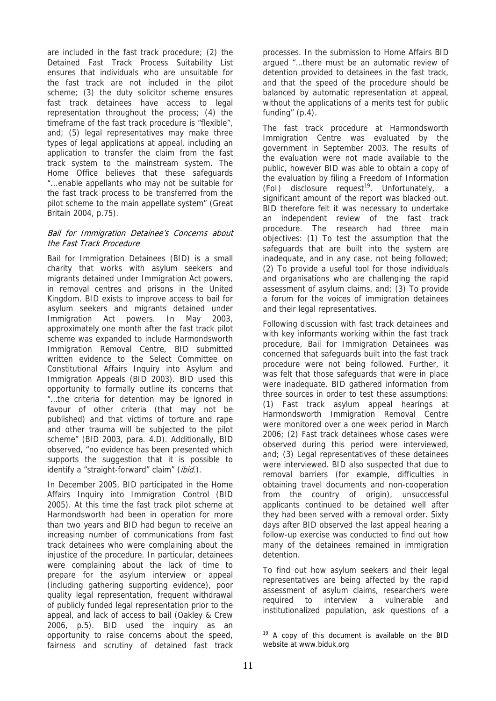are included in the fast track procedure; (2) the Detained Fast Track Process Suitability List ensures that individuals who are unsuitable for the fast track are not included in the pilot scheme; (3) the duty solicitor scheme ensures fast track detainees have access to legal representation throughout the process; (4) the timeframe of the fast track procedure is "flexible", and; (5) legal representatives may make three types of legal applications at appeal, including an application to transfer the claim from the fast track system to the mainstream system. The Home Office believes that these safeguards "...enable appellants who may not be suitable for the fast track process to be transferred from the pilot scheme to the main appellate system" (Great Britain 2004, p.75).

#### Bail for Immigration Detainee's Concerns about the Fast Track Procedure

Bail for Immigration Detainees (BID) is a small charity that works with asylum seekers and migrants detained under Immigration Act powers, in removal centres and prisons in the United Kingdom. BID exists to improve access to bail for asylum seekers and migrants detained under Immigration Act powers. In May 2003, approximately one month after the fast track pilot scheme was expanded to include Harmondsworth Immigration Removal Centre, BID submitted written evidence to the Select Committee on Constitutional Affairs Inquiry into Asylum and Immigration Appeals (BID 2003). BID used this opportunity to formally outline its concerns that "…the criteria for detention may be ignored in favour of other criteria (that may not be published) and that victims of torture and rape and other trauma will be subjected to the pilot scheme" (BID 2003, para. 4.D). Additionally, BID observed, "no evidence has been presented which supports the suggestion that it is possible to identify a "straight-forward" claim" (ibid.).

In December 2005, BID participated in the Home Affairs Inquiry into Immigration Control (BID 2005). At this time the fast track pilot scheme at Harmondsworth had been in operation for more than two years and BID had begun to receive an increasing number of communications from fast track detainees who were complaining about the injustice of the procedure. In particular, detainees were complaining about the lack of time to prepare for the asylum interview or appeal (including gathering supporting evidence), poor quality legal representation, frequent withdrawal of publicly funded legal representation prior to the appeal, and lack of access to bail (Oakley & Crew 2006, p.5). BID used the inquiry as an opportunity to raise concerns about the speed, fairness and scrutiny of detained fast track

processes. In the submission to Home Affairs BID argued "…there must be an automatic review of detention provided to detainees in the fast track, and that the speed of the procedure should be balanced by automatic representation at appeal, without the applications of a merits test for public funding" (p.4).

The fast track procedure at Harmondsworth Immigration Centre was evaluated by the government in September 2003. The results of the evaluation were not made available to the public, however BID was able to obtain a copy of the evaluation by filing a Freedom of Information  $(Fol)$  disclosure request<sup>19</sup>. Unfortunately, a significant amount of the report was blacked out. BID therefore felt it was necessary to undertake an independent review of the fast track procedure. The research had three main objectives: (1) To test the assumption that the safeguards that are built into the system are inadequate, and in any case, not being followed; (2) To provide a useful tool for those individuals and organisations who are challenging the rapid assessment of asylum claims, and; (3) To provide a forum for the voices of immigration detainees and their legal representatives.

Following discussion with fast track detainees and with key informants working within the fast track procedure, Bail for Immigration Detainees was concerned that safeguards built into the fast track procedure were not being followed. Further, it was felt that those safeguards that were in place were inadequate. BID gathered information from three sources in order to test these assumptions: (1) Fast track asylum appeal hearings at Harmondsworth Immigration Removal Centre were monitored over a one week period in March 2006; (2) Fast track detainees whose cases were observed during this period were interviewed, and; (3) Legal representatives of these detainees were interviewed. BID also suspected that due to removal barriers (for example, difficulties in obtaining travel documents and non-cooperation from the country of origin), unsuccessful applicants continued to be detained well after they had been served with a removal order. Sixty days after BID observed the last appeal hearing a follow-up exercise was conducted to find out how many of the detainees remained in immigration detention.

To find out how asylum seekers and their legal representatives are being affected by the rapid assessment of asylum claims, researchers were required to interview a vulnerable and institutionalized population, ask questions of a

 $19$  A copy of this document is available on the BID website at [www.biduk.org](http://www.biduk.org)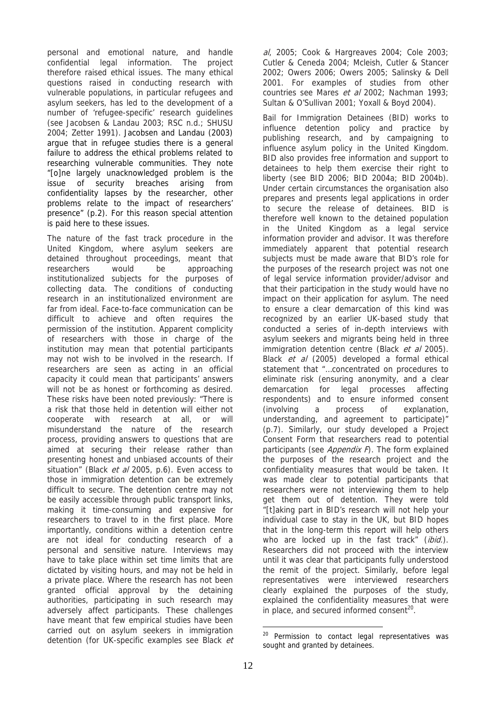personal and emotional nature, and handle confidential legal information. The project therefore raised ethical issues. The many ethical questions raised in conducting research with vulnerable populations, in particular refugees and asylum seekers, has led to the development of a number of 'refugee-specific' research guidelines (see Jacobsen & Landau 2003; RSC n.d.; SHUSU 2004; Zetter 1991). Jacobsen and Landau (2003) argue that in refugee studies there is a general failure to address the ethical problems related to researching vulnerable communities. They note "[o]ne largely unacknowledged problem is the issue of security breaches arising from confidentiality lapses by the researcher, other problems relate to the impact of researchers' presence" (p.2). For this reason special attention is paid here to these issues.

The nature of the fast track procedure in the United Kingdom, where asylum seekers are detained throughout proceedings, meant that researchers would be approaching institutionalized subjects for the purposes of collecting data. The conditions of conducting research in an institutionalized environment are far from ideal. Face-to-face communication can be difficult to achieve and often requires the permission of the institution. Apparent complicity of researchers with those in charge of the institution may mean that potential participants may not wish to be involved in the research. If researchers are seen as acting in an official capacity it could mean that participants' answers will not be as honest or forthcoming as desired. These risks have been noted previously: "There is a risk that those held in detention will either not cooperate with research at all, or will misunderstand the nature of the research process, providing answers to questions that are aimed at securing their release rather than presenting honest and unbiased accounts of their situation" (Black et al 2005, p.6). Even access to those in immigration detention can be extremely difficult to secure. The detention centre may not be easily accessible through public transport links, making it time-consuming and expensive for researchers to travel to in the first place. More importantly, conditions within a detention centre are not ideal for conducting research of a personal and sensitive nature. Interviews may have to take place within set time limits that are dictated by visiting hours, and may not be held in a private place. Where the research has not been granted official approval by the detaining authorities, participating in such research may adversely affect participants. These challenges have meant that few empirical studies have been carried out on asylum seekers in immigration detention (for UK-specific examples see Black et al, 2005; Cook & Hargreaves 2004; Cole 2003; Cutler & Ceneda 2004; Mcleish, Cutler & Stancer 2002; Owers 2006; Owers 2005; Salinsky & Dell 2001. For examples of studies from other countries see Mares et al 2002; Nachman 1993; Sultan & O'Sullivan 2001; Yoxall & Boyd 2004).

Bail for Immigration Detainees (BID) works to influence detention policy and practice by publishing research, and by campaigning to influence asylum policy in the United Kingdom. BID also provides free information and support to detainees to help them exercise their right to liberty (see BID 2006; BID 2004a; BID 2004b). Under certain circumstances the organisation also prepares and presents legal applications in order to secure the release of detainees. BID is therefore well known to the detained population in the United Kingdom as a legal service information provider and advisor. It was therefore immediately apparent that potential research subjects must be made aware that BID's role for the purposes of the research project was not one of legal service information provider/advisor and that their participation in the study would have no impact on their application for asylum. The need to ensure a clear demarcation of this kind was recognized by an earlier UK-based study that conducted a series of in-depth interviews with asylum seekers and migrants being held in three immigration detention centre (Black et al 2005). Black et al (2005) developed a formal ethical statement that "…concentrated on procedures to eliminate risk (ensuring anonymity, and a clear demarcation for legal processes affecting respondents) and to ensure informed consent (involving a process of explanation, understanding, and agreement to participate)" (p.7). Similarly, our study developed a Project Consent Form that researchers read to potential participants (see Appendix  $F$ ). The form explained the purposes of the research project and the confidentiality measures that would be taken. It was made clear to potential participants that researchers were not interviewing them to help get them out of detention. They were told "[t]aking part in BID's research will not help your individual case to stay in the UK, but BID hopes that in the long-term this report will help others who are locked up in the fast track" (ibid.). Researchers did not proceed with the interview until it was clear that participants fully understood the remit of the project. Similarly, before legal representatives were interviewed researchers clearly explained the purposes of the study, explained the confidentiality measures that were in place, and secured informed consent $^{20}$ .

<u>.</u>

<sup>&</sup>lt;sup>20</sup> Permission to contact legal representatives was sought and granted by detainees.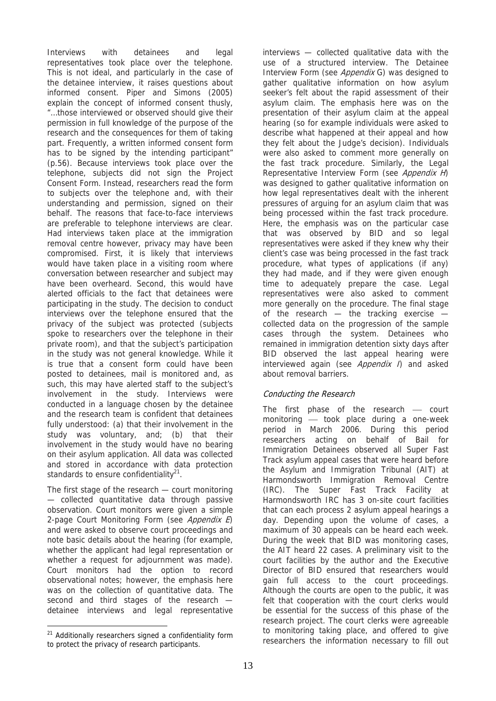Interviews with detainees and legal representatives took place over the telephone. This is not ideal, and particularly in the case of the detainee interview, it raises questions about informed consent. Piper and Simons (2005) explain the concept of informed consent thusly, "…those interviewed or observed should give their permission in full knowledge of the purpose of the research and the consequences for them of taking part. Frequently, a written informed consent form has to be signed by the intending participant" (p.56). Because interviews took place over the telephone, subjects did not sign the Project Consent Form. Instead, researchers read the form to subjects over the telephone and, with their understanding and permission, signed on their behalf. The reasons that face-to-face interviews are preferable to telephone interviews are clear. Had interviews taken place at the immigration removal centre however, privacy may have been compromised. First, it is likely that interviews would have taken place in a visiting room where conversation between researcher and subject may have been overheard. Second, this would have alerted officials to the fact that detainees were participating in the study. The decision to conduct interviews over the telephone ensured that the privacy of the subject was protected (subjects spoke to researchers over the telephone in their private room), and that the subject's participation in the study was not general knowledge. While it is true that a consent form could have been posted to detainees, mail is monitored and, as such, this may have alerted staff to the subject's involvement in the study. Interviews were conducted in a language chosen by the detainee and the research team is confident that detainees fully understood: (a) that their involvement in the study was voluntary, and; (b) that their involvement in the study would have no bearing on their asylum application. All data was collected and stored in accordance with data protection standards to ensure confidentiality<sup>21</sup>.

The first stage of the research — court monitoring — collected quantitative data through passive observation. Court monitors were given a simple 2-page Court Monitoring Form (see Appendix E) and were asked to observe court proceedings and note basic details about the hearing (for example, whether the applicant had legal representation or whether a request for adjournment was made). Court monitors had the option to record observational notes; however, the emphasis here was on the collection of quantitative data. The second and third stages of the research detainee interviews and legal representative

interviews — collected qualitative data with the use of a structured interview. The Detainee Interview Form (see Appendix G) was designed to gather qualitative information on how asylum seeker's felt about the rapid assessment of their asylum claim. The emphasis here was on the presentation of their asylum claim at the appeal hearing (so for example individuals were asked to describe what happened at their appeal and how they felt about the Judge's decision). Individuals were also asked to comment more generally on the fast track procedure. Similarly, the Legal Representative Interview Form (see Appendix H) was designed to gather qualitative information on how legal representatives dealt with the inherent pressures of arguing for an asylum claim that was being processed within the fast track procedure. Here, the emphasis was on the particular case that was observed by BID and so legal representatives were asked if they knew why their client's case was being processed in the fast track procedure, what types of applications (if any) they had made, and if they were given enough time to adequately prepare the case. Legal representatives were also asked to comment more generally on the procedure. The final stage of the research — the tracking exercise collected data on the progression of the sample cases through the system. Detainees who remained in immigration detention sixty days after BID observed the last appeal hearing were interviewed again (see *Appendix I*) and asked about removal barriers.

## Conducting the Research

The first phase of the research  $-$  court monitoring  $-$  took place during a one-week period in March 2006. During this period researchers acting on behalf of Bail for Immigration Detainees observed all Super Fast Track asylum appeal cases that were heard before the Asylum and Immigration Tribunal (AIT) at Harmondsworth Immigration Removal Centre (IRC). The Super Fast Track Facility at Harmondsworth IRC has 3 on-site court facilities that can each process 2 asylum appeal hearings a day. Depending upon the volume of cases, a maximum of 30 appeals can be heard each week. During the week that BID was monitoring cases, the AIT heard 22 cases. A preliminary visit to the court facilities by the author and the Executive Director of BID ensured that researchers would gain full access to the court proceedings. Although the courts are open to the public, it was felt that cooperation with the court clerks would be essential for the success of this phase of the research project. The court clerks were agreeable to monitoring taking place, and offered to give researchers the information necessary to fill out

 $\overline{a}$ <sup>21</sup> Additionally researchers signed a confidentiality form to protect the privacy of research participants.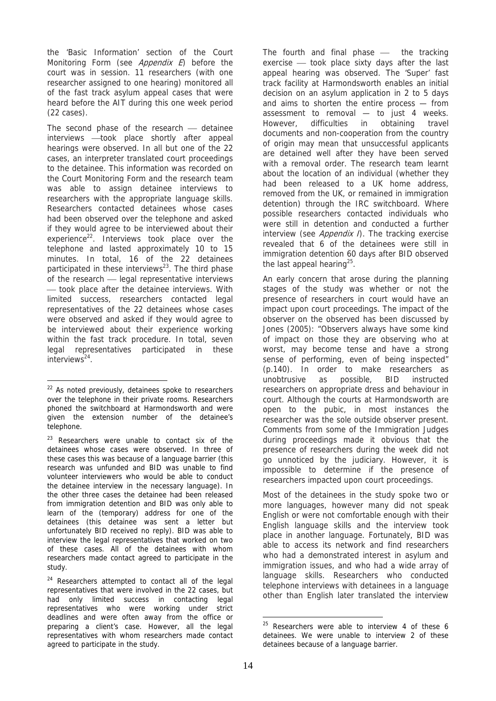the 'Basic Information' section of the Court Monitoring Form (see *Appendix E*) before the court was in session. 11 researchers (with one researcher assigned to one hearing) monitored all of the fast track asylum appeal cases that were heard before the AIT during this one week period (22 cases).

The second phase of the research  $-$  detainee interviews - took place shortly after appeal hearings were observed. In all but one of the 22 cases, an interpreter translated court proceedings to the detainee. This information was recorded on the Court Monitoring Form and the research team was able to assign detainee interviews to researchers with the appropriate language skills. Researchers contacted detainees whose cases had been observed over the telephone and asked if they would agree to be interviewed about their experience<sup>22</sup>. Interviews took place over the telephone and lasted approximately 10 to 15 minutes. In total, 16 of the 22 detainees participated in these interviews $^{23}$ . The third phase of the research – legal representative interviews ⎯ took place after the detainee interviews. With limited success, researchers contacted legal representatives of the 22 detainees whose cases were observed and asked if they would agree to be interviewed about their experience working within the fast track procedure. In total, seven legal representatives participated in these interviews<sup>24</sup>.

 $\overline{a}$ 

 $24$  Researchers attempted to contact all of the legal representatives that were involved in the 22 cases, but had only limited success in contacting legal representatives who were working under strict deadlines and were often away from the office or preparing a client's case. However, all the legal representatives with whom researchers made contact agreed to participate in the study.

The fourth and final phase  $-$  the tracking exercise  $-$  took place sixty days after the last appeal hearing was observed. The 'Super' fast track facility at Harmondsworth enables an initial decision on an asylum application in 2 to 5 days and aims to shorten the entire process — from assessment to removal — to just 4 weeks. However, difficulties in obtaining travel documents and non-cooperation from the country of origin may mean that unsuccessful applicants are detained well after they have been served with a removal order. The research team learnt about the location of an individual (whether they had been released to a UK home address, removed from the UK, or remained in immigration detention) through the IRC switchboard. Where possible researchers contacted individuals who were still in detention and conducted a further interview (see *Appendix I*). The tracking exercise revealed that 6 of the detainees were still in immigration detention 60 days after BID observed the last appeal hearing<sup>25</sup>.

An early concern that arose during the planning stages of the study was whether or not the presence of researchers in court would have an impact upon court proceedings. The impact of the observer on the observed has been discussed by Jones (2005): "Observers always have some kind of impact on those they are observing who at worst, may become tense and have a strong sense of performing, even of being inspected" (p.140). In order to make researchers as unobtrusive as possible, BID instructed researchers on appropriate dress and behaviour in court. Although the courts at Harmondsworth are open to the pubic, in most instances the researcher was the sole outside observer present. Comments from some of the Immigration Judges during proceedings made it obvious that the presence of researchers during the week did not go unnoticed by the judiciary. However, it is impossible to determine if the presence of researchers impacted upon court proceedings.

Most of the detainees in the study spoke two or more languages, however many did not speak English or were not comfortable enough with their English language skills and the interview took place in another language. Fortunately, BID was able to access its network and find researchers who had a demonstrated interest in asylum and immigration issues, and who had a wide array of language skills. Researchers who conducted telephone interviews with detainees in a language other than English later translated the interview

 $22$  As noted previously, detainees spoke to researchers over the telephone in their private rooms. Researchers phoned the switchboard at Harmondsworth and were given the extension number of the detainee's telephone.

 $23$  Researchers were unable to contact six of the detainees whose cases were observed. In three of these cases this was because of a language barrier (this research was unfunded and BID was unable to find volunteer interviewers who would be able to conduct the detainee interview in the necessary language). In the other three cases the detainee had been released from immigration detention and BID was only able to learn of the (temporary) address for one of the detainees (this detainee was sent a letter but unfortunately BID received no reply). BID was able to interview the legal representatives that worked on two of these cases. All of the detainees with whom researchers made contact agreed to participate in the study.

 $25$  Researchers were able to interview 4 of these 6 detainees. We were unable to interview 2 of these detainees because of a language barrier.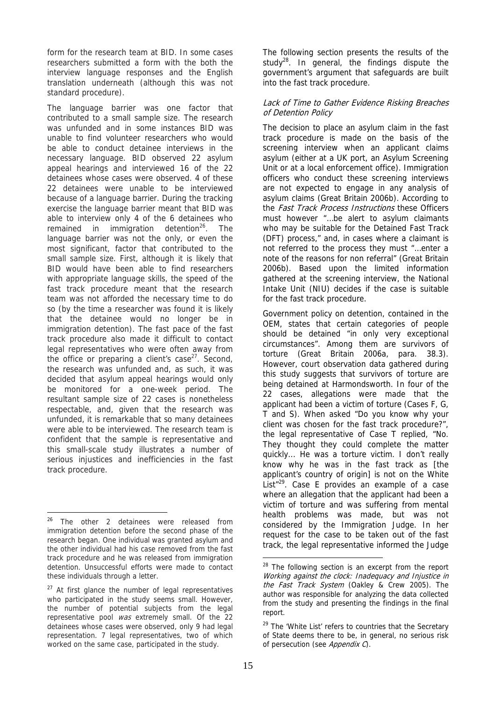form for the research team at BID. In some cases researchers submitted a form with the both the interview language responses and the English translation underneath (although this was not standard procedure).

The language barrier was one factor that contributed to a small sample size. The research was unfunded and in some instances BID was unable to find volunteer researchers who would be able to conduct detainee interviews in the necessary language. BID observed 22 asylum appeal hearings and interviewed 16 of the 22 detainees whose cases were observed. 4 of these 22 detainees were unable to be interviewed because of a language barrier. During the tracking exercise the language barrier meant that BID was able to interview only 4 of the 6 detainees who remained in immigration detention $26$ . The language barrier was not the only, or even the most significant, factor that contributed to the small sample size. First, although it is likely that BID would have been able to find researchers with appropriate language skills, the speed of the fast track procedure meant that the research team was not afforded the necessary time to do so (by the time a researcher was found it is likely that the detainee would no longer be in immigration detention). The fast pace of the fast track procedure also made it difficult to contact legal representatives who were often away from the office or preparing a client's case $27$ . Second, the research was unfunded and, as such, it was decided that asylum appeal hearings would only be monitored for a one-week period. The resultant sample size of 22 cases is nonetheless respectable, and, given that the research was unfunded, it is remarkable that so many detainees were able to be interviewed. The research team is confident that the sample is representative and this small-scale study illustrates a number of serious injustices and inefficiencies in the fast track procedure.

The following section presents the results of the study $^{28}$ . In general, the findings dispute the government's argument that safeguards are built into the fast track procedure.

#### Lack of Time to Gather Evidence Risking Breaches of Detention Policy

The decision to place an asylum claim in the fast track procedure is made on the basis of the screening interview when an applicant claims asylum (either at a UK port, an Asylum Screening Unit or at a local enforcement office). Immigration officers who conduct these screening interviews are not expected to engage in any analysis of asylum claims (Great Britain 2006b). According to the Fast Track Process Instructions these Officers must however "…be alert to asylum claimants who may be suitable for the Detained Fast Track (DFT) process," and, in cases where a claimant is not referred to the process they must "…enter a note of the reasons for non referral" (Great Britain 2006b). Based upon the limited information gathered at the screening interview, the National Intake Unit (NIU) decides if the case is suitable for the fast track procedure.

Government policy on detention, contained in the OEM, states that certain categories of people should be detained "in only very exceptional circumstances". Among them are survivors of torture (Great Britain 2006a, para. 38.3). However, court observation data gathered during this study suggests that survivors of torture are being detained at Harmondsworth. In four of the 22 cases, allegations were made that the applicant had been a victim of torture (Cases F, G, T and S). When asked "Do you know why your client was chosen for the fast track procedure?", the legal representative of Case T replied, "No. They thought they could complete the matter quickly... He was a torture victim. I don't really know why he was in the fast track as [the applicant's country of origin] is not on the White List $129$ . Case E provides an example of a case where an allegation that the applicant had been a victim of torture and was suffering from mental health problems was made, but was not considered by the Immigration Judge. In her request for the case to be taken out of the fast track, the legal representative informed the Judge

<sup>26</sup> The other 2 detainees were released from immigration detention before the second phase of the research began. One individual was granted asylum and the other individual had his case removed from the fast track procedure and he was released from immigration detention. Unsuccessful efforts were made to contact these individuals through a letter.

 $27$  At first glance the number of legal representatives who participated in the study seems small. However, the number of potential subjects from the legal representative pool was extremely small. Of the 22 detainees whose cases were observed, only 9 had legal representation. 7 legal representatives, two of which worked on the same case, participated in the study.

<sup>&</sup>lt;sup>28</sup> The following section is an excerpt from the report Working against the clock: Inadequacy and Injustice in the Fast Track System (Oakley & Crew 2005). The author was responsible for analyzing the data collected from the study and presenting the findings in the final report.

<sup>&</sup>lt;sup>29</sup> The 'White List' refers to countries that the Secretary of State deems there to be, in general, no serious risk of persecution (see Appendix C).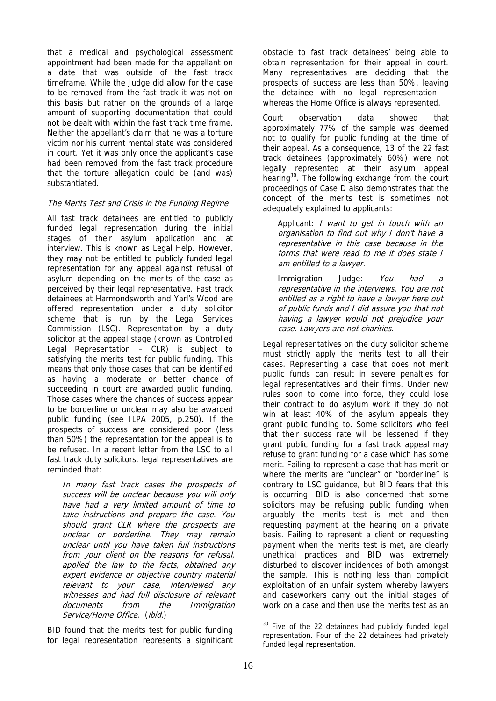that a medical and psychological assessment appointment had been made for the appellant on a date that was outside of the fast track timeframe. While the Judge did allow for the case to be removed from the fast track it was not on this basis but rather on the grounds of a large amount of supporting documentation that could not be dealt with within the fast track time frame. Neither the appellant's claim that he was a torture victim nor his current mental state was considered in court. Yet it was only once the applicant's case had been removed from the fast track procedure that the torture allegation could be (and was) substantiated.

## The Merits Test and Crisis in the Funding Regime

All fast track detainees are entitled to publicly funded legal representation during the initial stages of their asylum application and at interview. This is known as Legal Help. However, they may not be entitled to publicly funded legal representation for any appeal against refusal of asylum depending on the merits of the case as perceived by their legal representative. Fast track detainees at Harmondsworth and Yarl's Wood are offered representation under a duty solicitor scheme that is run by the Legal Services Commission (LSC). Representation by a duty solicitor at the appeal stage (known as Controlled Legal Representation – CLR) is subject to satisfying the merits test for public funding. This means that only those cases that can be identified as having a moderate or better chance of succeeding in court are awarded public funding. Those cases where the chances of success appear to be borderline or unclear may also be awarded public funding (see ILPA 2005, p.250). If the prospects of success are considered poor (less than 50%) the representation for the appeal is to be refused. In a recent letter from the LSC to all fast track duty solicitors, legal representatives are reminded that:

In many fast track cases the prospects of success will be unclear because you will only have had a very limited amount of time to take instructions and prepare the case. You should grant CLR where the prospects are unclear or borderline. They may remain unclear until you have taken full instructions from your client on the reasons for refusal, applied the law to the facts, obtained any expert evidence or objective country material relevant to your case, interviewed any witnesses and had full disclosure of relevant documents from the Immigration Service/Home Office. (ibid.)

BID found that the merits test for public funding for legal representation represents a significant obstacle to fast track detainees' being able to obtain representation for their appeal in court. Many representatives are deciding that the prospects of success are less than 50%, leaving the detainee with no legal representation whereas the Home Office is always represented.

Court observation data showed that approximately 77% of the sample was deemed not to qualify for public funding at the time of their appeal. As a consequence, 13 of the 22 fast track detainees (approximately 60%) were not legally represented at their asylum appeal hearing<sup>30</sup>. The following exchange from the court proceedings of Case D also demonstrates that the concept of the merits test is sometimes not adequately explained to applicants:

Applicant: *I want to get in touch with an* organisation to find out why I don't have a representative in this case because in the forms that were read to me it does state I am entitled to a lawyer.

Immigration Judge: You had a representative in the interviews. You are not entitled as a right to have a lawyer here out of public funds and I did assure you that not having a lawyer would not prejudice your case. Lawyers are not charities.

Legal representatives on the duty solicitor scheme must strictly apply the merits test to all their cases. Representing a case that does not merit public funds can result in severe penalties for legal representatives and their firms. Under new rules soon to come into force, they could lose their contract to do asylum work if they do not win at least 40% of the asylum appeals they grant public funding to. Some solicitors who feel that their success rate will be lessened if they grant public funding for a fast track appeal may refuse to grant funding for a case which has some merit. Failing to represent a case that has merit or where the merits are "unclear" or "borderline" is contrary to LSC guidance, but BID fears that this is occurring. BID is also concerned that some solicitors may be refusing public funding when arguably the merits test is met and then requesting payment at the hearing on a private basis. Failing to represent a client or requesting payment when the merits test is met, are clearly unethical practices and BID was extremely disturbed to discover incidences of both amongst the sample. This is nothing less than complicit exploitation of an unfair system whereby lawyers and caseworkers carry out the initial stages of work on a case and then use the merits test as an

<sup>&</sup>lt;sup>30</sup> Five of the 22 detainees had publicly funded legal representation. Four of the 22 detainees had privately funded legal representation.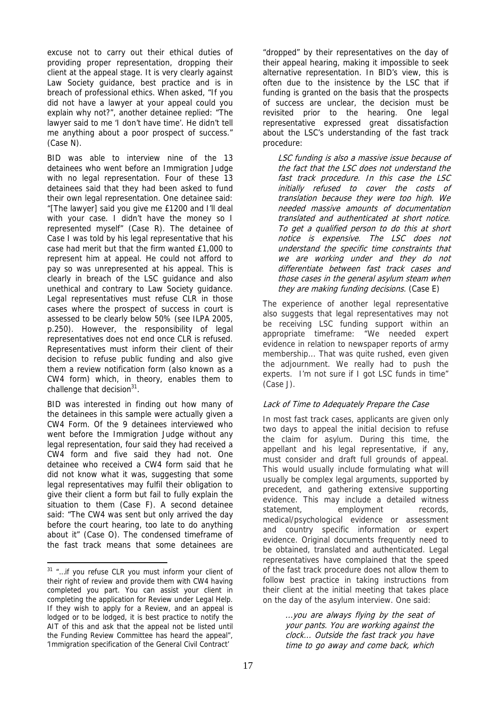excuse not to carry out their ethical duties of providing proper representation, dropping their client at the appeal stage. It is very clearly against Law Society guidance, best practice and is in breach of professional ethics. When asked, "If you did not have a lawyer at your appeal could you explain why not?", another detainee replied: "The lawyer said to me 'I don't have time'. He didn't tell me anything about a poor prospect of success." (Case N).

BID was able to interview nine of the 13 detainees who went before an Immigration Judge with no legal representation. Four of these 13 detainees said that they had been asked to fund their own legal representation. One detainee said: "[The lawyer] said you give me £1200 and I'll deal with your case. I didn't have the money so I represented myself" (Case R). The detainee of Case I was told by his legal representative that his case had merit but that the firm wanted £1,000 to represent him at appeal. He could not afford to pay so was unrepresented at his appeal. This is clearly in breach of the LSC guidance and also unethical and contrary to Law Society guidance. Legal representatives must refuse CLR in those cases where the prospect of success in court is assessed to be clearly below 50% (see ILPA 2005, p.250). However, the responsibility of legal representatives does not end once CLR is refused. Representatives must inform their client of their decision to refuse public funding and also give them a review notification form (also known as a CW4 form) which, in theory, enables them to challenge that decision $31$ .

BID was interested in finding out how many of the detainees in this sample were actually given a CW4 Form. Of the 9 detainees interviewed who went before the Immigration Judge without any legal representation, four said they had received a CW4 form and five said they had not. One detainee who received a CW4 form said that he did not know what it was, suggesting that some legal representatives may fulfil their obligation to give their client a form but fail to fully explain the situation to them (Case F). A second detainee said: "The CW4 was sent but only arrived the day before the court hearing, too late to do anything about it" (Case O). The condensed timeframe of the fast track means that some detainees are

"dropped" by their representatives on the day of their appeal hearing, making it impossible to seek alternative representation. In BID's view, this is often due to the insistence by the LSC that if funding is granted on the basis that the prospects of success are unclear, the decision must be revisited prior to the hearing. One legal representative expressed great dissatisfaction about the LSC's understanding of the fast track procedure:

LSC funding is also a massive issue because of the fact that the LSC does not understand the fast track procedure. In this case the LSC initially refused to cover the costs of translation because they were too high. We needed massive amounts of documentation translated and authenticated at short notice. To get a qualified person to do this at short notice is expensive. The LSC does not understand the specific time constraints that we are working under and they do not differentiate between fast track cases and those cases in the general asylum steam when they are making funding decisions. (Case E)

The experience of another legal representative also suggests that legal representatives may not be receiving LSC funding support within an appropriate timeframe: "We needed expert evidence in relation to newspaper reports of army membership... That was quite rushed, even given the adjournment. We really had to push the experts. I'm not sure if I got LSC funds in time" (Case J).

## Lack of Time to Adequately Prepare the Case

In most fast track cases, applicants are given only two days to appeal the initial decision to refuse the claim for asylum. During this time, the appellant and his legal representative, if any, must consider and draft full grounds of appeal. This would usually include formulating what will usually be complex legal arguments, supported by precedent, and gathering extensive supporting evidence. This may include a detailed witness statement, employment records, medical/psychological evidence or assessment and country specific information or expert evidence. Original documents frequently need to be obtained, translated and authenticated. Legal representatives have complained that the speed of the fast track procedure does not allow them to follow best practice in taking instructions from their client at the initial meeting that takes place on the day of the asylum interview. One said:

> ...you are always flying by the seat of your pants. You are working against the clock... Outside the fast track you have time to go away and come back, which

 $\overline{a}$ <sup>31</sup> "...if you refuse CLR you must inform your client of their right of review and provide them with CW4 having completed you part. You can assist your client in completing the application for Review under Legal Help. If they wish to apply for a Review, and an appeal is lodged or to be lodged, it is best practice to notify the AIT of this and ask that the appeal not be listed until the Funding Review Committee has heard the appeal", 'Immigration specification of the General Civil Contract'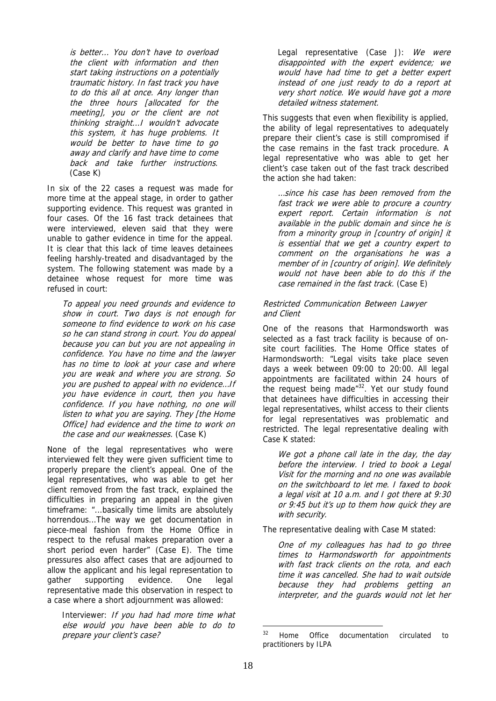is better... You don't have to overload the client with information and then start taking instructions on a potentially traumatic history. In fast track you have to do this all at once. Any longer than the three hours [allocated for the meeting], you or the client are not thinking straight...I wouldn't advocate this system, it has huge problems. It would be better to have time to go away and clarify and have time to come back and take further instructions. (Case K)

In six of the 22 cases a request was made for more time at the appeal stage, in order to gather supporting evidence. This request was granted in four cases. Of the 16 fast track detainees that were interviewed, eleven said that they were unable to gather evidence in time for the appeal. It is clear that this lack of time leaves detainees feeling harshly-treated and disadvantaged by the system. The following statement was made by a detainee whose request for more time was refused in court:

To appeal you need grounds and evidence to show in court. Two days is not enough for someone to find evidence to work on his case so he can stand strong in court. You do appeal because you can but you are not appealing in confidence. You have no time and the lawyer has no time to look at your case and where you are weak and where you are strong. So you are pushed to appeal with no evidence…If you have evidence in court, then you have confidence. If you have nothing, no one will listen to what you are saying. They [the Home Office] had evidence and the time to work on the case and our weaknesses. (Case K)

None of the legal representatives who were interviewed felt they were given sufficient time to properly prepare the client's appeal. One of the legal representatives, who was able to get her client removed from the fast track, explained the difficulties in preparing an appeal in the given timeframe: "...basically time limits are absolutely horrendous...The way we get documentation in piece-meal fashion from the Home Office in respect to the refusal makes preparation over a short period even harder" (Case E). The time pressures also affect cases that are adjourned to allow the applicant and his legal representation to gather supporting evidence. One legal representative made this observation in respect to a case where a short adjournment was allowed:

Interviewer: If you had had more time what else would you have been able to do to prepare your client's case?

Legal representative (Case J): We were disappointed with the expert evidence; we would have had time to get a better expert instead of one just ready to do a report at very short notice. We would have got a more detailed witness statement.

This suggests that even when flexibility is applied, the ability of legal representatives to adequately prepare their client's case is still compromised if the case remains in the fast track procedure. A legal representative who was able to get her client's case taken out of the fast track described the action she had taken:

…since his case has been removed from the fast track we were able to procure a country expert report. Certain information is not available in the public domain and since he is from a minority group in [country of origin] it is essential that we get a country expert to comment on the organisations he was a member of in [country of origin]. We definitely would not have been able to do this if the case remained in the fast track. (Case E)

#### Restricted Communication Between Lawyer and Client

One of the reasons that Harmondsworth was selected as a fast track facility is because of onsite court facilities. The Home Office states of Harmondsworth: "Legal visits take place seven days a week between 09:00 to 20:00. All legal appointments are facilitated within 24 hours of the request being made<sup>"32</sup>. Yet our study found that detainees have difficulties in accessing their legal representatives, whilst access to their clients for legal representatives was problematic and restricted. The legal representative dealing with Case K stated:

We got a phone call late in the day, the day before the interview. I tried to book a Legal Visit for the morning and no one was available on the switchboard to let me. I faxed to book a legal visit at 10 a.m. and I got there at 9:30 or 9:45 but it's up to them how quick they are with security.

The representative dealing with Case M stated:

One of my colleagues has had to go three times to Harmondsworth for appointments with fast track clients on the rota, and each time it was cancelled. She had to wait outside because they had problems getting an interpreter, and the guards would not let her

<sup>32</sup> Home Office documentation circulated to practitioners by ILPA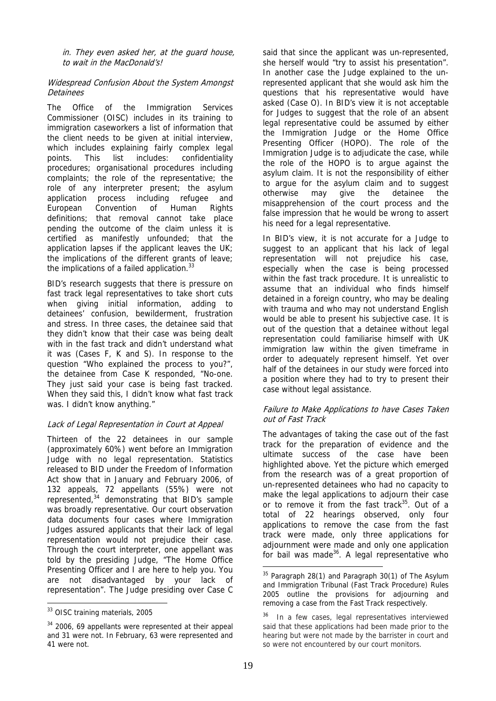in. They even asked her, at the guard house, to wait in the MacDonald's!

#### Widespread Confusion About the System Amongst Detainees

The Office of the Immigration Services Commissioner (OISC) includes in its training to immigration caseworkers a list of information that the client needs to be given at initial interview, which includes explaining fairly complex legal points. This list includes: confidentiality procedures; organisational procedures including complaints; the role of the representative; the role of any interpreter present; the asylum application process including refugee and European Convention of Human Rights definitions; that removal cannot take place pending the outcome of the claim unless it is certified as manifestly unfounded; that the application lapses if the applicant leaves the UK; the implications of the different grants of leave; the implications of a failed application. $33$ 

BID's research suggests that there is pressure on fast track legal representatives to take short cuts when giving initial information, adding to detainees' confusion, bewilderment, frustration and stress. In three cases, the detainee said that they didn't know that their case was being dealt with in the fast track and didn't understand what it was (Cases F, K and S). In response to the question "Who explained the process to you?", the detainee from Case K responded, "No-one. They just said your case is being fast tracked. When they said this, I didn't know what fast track was. I didn't know anything."

#### Lack of Legal Representation in Court at Appeal

Thirteen of the 22 detainees in our sample (approximately 60%) went before an Immigration Judge with no legal representation. Statistics released to BID under the Freedom of Information Act show that in January and February 2006, of 132 appeals, 72 appellants (55%) were not represented,<sup>34</sup> demonstrating that BID's sample was broadly representative. Our court observation data documents four cases where Immigration Judges assured applicants that their lack of legal representation would not prejudice their case. Through the court interpreter, one appellant was told by the presiding Judge, "The Home Office Presenting Officer and I are here to help you. You are not disadvantaged by your lack of representation". The Judge presiding over Case C

 $\overline{a}$ 

said that since the applicant was un-represented, she herself would "try to assist his presentation". In another case the Judge explained to the unrepresented applicant that she would ask him the questions that his representative would have asked (Case O). In BID's view it is not acceptable for Judges to suggest that the role of an absent legal representative could be assumed by either the Immigration Judge or the Home Office Presenting Officer (HOPO). The role of the Immigration Judge is to adjudicate the case, while the role of the HOPO is to argue against the asylum claim. It is not the responsibility of either to argue for the asylum claim and to suggest otherwise may give the detainee the misapprehension of the court process and the false impression that he would be wrong to assert his need for a legal representative.

In BID's view, it is not accurate for a Judge to suggest to an applicant that his lack of legal representation will not prejudice his case, especially when the case is being processed within the fast track procedure. It is unrealistic to assume that an individual who finds himself detained in a foreign country, who may be dealing with trauma and who may not understand English would be able to present his subjective case. It is out of the question that a detainee without legal representation could familiarise himself with UK immigration law within the given timeframe in order to adequately represent himself. Yet over half of the detainees in our study were forced into a position where they had to try to present their case without legal assistance.

#### Failure to Make Applications to have Cases Taken out of Fast Track

The advantages of taking the case out of the fast track for the preparation of evidence and the ultimate success of the case have been highlighted above. Yet the picture which emerged from the research was of a great proportion of un-represented detainees who had no capacity to make the legal applications to adjourn their case or to remove it from the fast track<sup>35</sup>. Out of a total of 22 hearings observed, only four applications to remove the case from the fast track were made, only three applications for adjournment were made and only one application for bail was made<sup>36</sup>. A legal representative who

<sup>33</sup> OISC training materials, 2005

<sup>34 2006, 69</sup> appellants were represented at their appeal and 31 were not. In February, 63 were represented and 41 were not.

 $35$  Paragraph 28(1) and Paragraph 30(1) of The Asylum and Immigration Tribunal (Fast Track Procedure) Rules 2005 outline the provisions for adjourning and removing a case from the Fast Track respectively.

<sup>&</sup>lt;sup>36</sup> In a few cases, legal representatives interviewed said that these applications had been made prior to the hearing but were not made by the barrister in court and so were not encountered by our court monitors.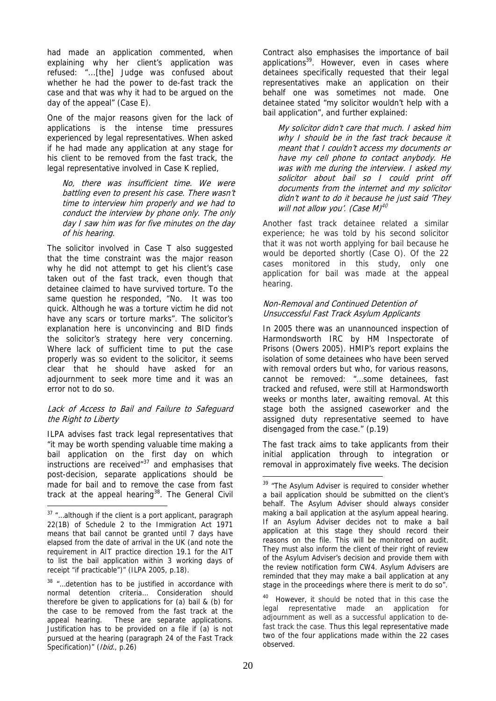had made an application commented, when explaining why her client's application was refused: "...[the] Judge was confused about whether he had the power to de-fast track the case and that was why it had to be argued on the day of the appeal" (Case E).

One of the major reasons given for the lack of applications is the intense time pressures experienced by legal representatives. When asked if he had made any application at any stage for his client to be removed from the fast track, the legal representative involved in Case K replied,

No, there was insufficient time. We were battling even to present his case. There wasn't time to interview him properly and we had to conduct the interview by phone only. The only day I saw him was for five minutes on the day of his hearing.

The solicitor involved in Case T also suggested that the time constraint was the major reason why he did not attempt to get his client's case taken out of the fast track, even though that detainee claimed to have survived torture. To the same question he responded, "No. It was too quick. Although he was a torture victim he did not have any scars or torture marks". The solicitor's explanation here is unconvincing and BID finds the solicitor's strategy here very concerning. Where lack of sufficient time to put the case properly was so evident to the solicitor, it seems clear that he should have asked for an adiournment to seek more time and it was an error not to do so.

#### Lack of Access to Bail and Failure to Safeguard the Right to Liberty

ILPA advises fast track legal representatives that "it may be worth spending valuable time making a bail application on the first day on which instructions are received $137$  and emphasises that post-decision, separate applications should be made for bail and to remove the case from fast track at the appeal hearing $38$ . The General Civil

 $\overline{a}$ 

Contract also emphasises the importance of bail applications<sup>39</sup>. However, even in cases where detainees specifically requested that their legal representatives make an application on their behalf one was sometimes not made. One detainee stated "my solicitor wouldn't help with a bail application", and further explained:

My solicitor didn't care that much. I asked him why I should be in the fast track because it meant that I couldn't access my documents or have my cell phone to contact anybody. He was with me during the interview. I asked my solicitor about bail so I could print off documents from the internet and my solicitor didn't want to do it because he just said 'They will not allow you'. (Case M)<sup>40</sup>

Another fast track detainee related a similar experience; he was told by his second solicitor that it was not worth applying for bail because he would be deported shortly (Case O). Of the 22 cases monitored in this study, only one application for bail was made at the appeal hearing.

#### Non-Removal and Continued Detention of Unsuccessful Fast Track Asylum Applicants

In 2005 there was an unannounced inspection of Harmondsworth IRC by HM Inspectorate of Prisons (Owers 2005). HMIP's report explains the isolation of some detainees who have been served with removal orders but who, for various reasons, cannot be removed: "…some detainees, fast tracked and refused, were still at Harmondsworth weeks or months later, awaiting removal. At this stage both the assigned caseworker and the assigned duty representative seemed to have disengaged from the case." (p.19)

The fast track aims to take applicants from their initial application through to integration or removal in approximately five weeks. The decision

<sup>37 &</sup>quot;...although if the client is a port applicant, paragraph 22(1B) of Schedule 2 to the Immigration Act 1971 means that bail cannot be granted until 7 days have elapsed from the date of arrival in the UK (and note the requirement in AIT practice direction 19.1 for the AIT to list the bail application within 3 working days of receipt "if practicable")" (ILPA 2005, p.18).

<sup>38 &</sup>quot;... detention has to be justified in accordance with normal detention criteria… Consideration should therefore be given to applications for (a) bail & (b) for the case to be removed from the fast track at the appeal hearing. These are separate applications. Justification has to be provided on a file if (a) is not pursued at the hearing (paragraph 24 of the Fast Track Specification)" (Ibid., p.26)

<sup>1</sup> <sup>39</sup> "The Asylum Adviser is required to consider whether a bail application should be submitted on the client's behalf. The Asylum Adviser should always consider making a bail application at the asylum appeal hearing. If an Asylum Adviser decides not to make a bail application at this stage they should record their reasons on the file. This will be monitored on audit. They must also inform the client of their right of review of the Asylum Adviser's decision and provide them with the review notification form CW4. Asylum Advisers are reminded that they may make a bail application at any stage in the proceedings where there is merit to do so".

<sup>40</sup> However, it should be noted that in this case the legal representative made an application for adjournment as well as a successful application to defast track the case. Thus this legal representative made two of the four applications made within the 22 cases observed.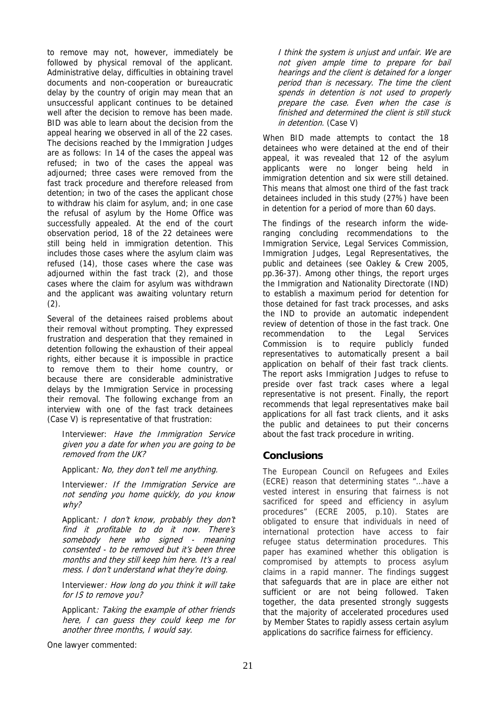to remove may not, however, immediately be followed by physical removal of the applicant. Administrative delay, difficulties in obtaining travel documents and non-cooperation or bureaucratic delay by the country of origin may mean that an unsuccessful applicant continues to be detained well after the decision to remove has been made. BID was able to learn about the decision from the appeal hearing we observed in all of the 22 cases. The decisions reached by the Immigration Judges are as follows: In 14 of the cases the appeal was refused; in two of the cases the appeal was adjourned; three cases were removed from the fast track procedure and therefore released from detention; in two of the cases the applicant chose to withdraw his claim for asylum, and; in one case the refusal of asylum by the Home Office was successfully appealed. At the end of the court observation period, 18 of the 22 detainees were still being held in immigration detention. This includes those cases where the asylum claim was refused (14), those cases where the case was adjourned within the fast track (2), and those cases where the claim for asylum was withdrawn and the applicant was awaiting voluntary return  $(2).$ 

Several of the detainees raised problems about their removal without prompting. They expressed frustration and desperation that they remained in detention following the exhaustion of their appeal rights, either because it is impossible in practice to remove them to their home country, or because there are considerable administrative delays by the Immigration Service in processing their removal. The following exchange from an interview with one of the fast track detainees (Case V) is representative of that frustration:

Interviewer: Have the Immigration Service given you a date for when you are going to be removed from the UK?

Applicant: No, they don't tell me anything.

Interviewer: If the Immigration Service are not sending you home quickly, do you know why?

Applicant: I don't know, probably they don't find it profitable to do it now. There's somebody here who signed - meaning consented - to be removed but it's been three months and they still keep him here. It's a real mess. I don't understand what they're doing.

Interviewer: How long do you think it will take for IS to remove you?

Applicant: Taking the example of other friends here, I can guess they could keep me for another three months, I would say.

One lawyer commented:

I think the system is unjust and unfair. We are not given ample time to prepare for bail hearings and the client is detained for a longer period than is necessary. The time the client spends in detention is not used to properly prepare the case. Even when the case is finished and determined the client is still stuck in detention. (Case V)

When BID made attempts to contact the 18 detainees who were detained at the end of their appeal, it was revealed that 12 of the asylum applicants were no longer being held in immigration detention and six were still detained. This means that almost one third of the fast track detainees included in this study (27%) have been in detention for a period of more than 60 days.

The findings of the research inform the wideranging concluding recommendations to the Immigration Service, Legal Services Commission, Immigration Judges, Legal Representatives, the public and detainees (see Oakley & Crew 2005, pp.36-37). Among other things, the report urges the Immigration and Nationality Directorate (IND) to establish a maximum period for detention for those detained for fast track processes, and asks the IND to provide an automatic independent review of detention of those in the fast track. One recommendation to the Legal Services Commission is to require publicly funded representatives to automatically present a bail application on behalf of their fast track clients. The report asks Immigration Judges to refuse to preside over fast track cases where a legal representative is not present. Finally, the report recommends that legal representatives make bail applications for all fast track clients, and it asks the public and detainees to put their concerns about the fast track procedure in writing.

# **Conclusions**

The European Council on Refugees and Exiles (ECRE) reason that determining states "…have a vested interest in ensuring that fairness is not sacrificed for speed and efficiency in asylum procedures" (ECRE 2005, p.10). States are obligated to ensure that individuals in need of international protection have access to fair refugee status determination procedures. This paper has examined whether this obligation is compromised by attempts to process asylum claims in a rapid manner. The findings suggest that safeguards that are in place are either not sufficient or are not being followed. Taken together, the data presented strongly suggests that the majority of accelerated procedures used by Member States to rapidly assess certain asylum applications do sacrifice fairness for efficiency.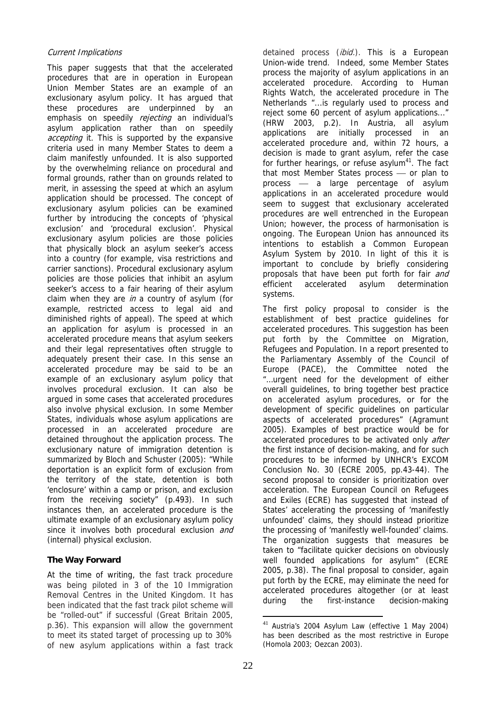## Current Implications

This paper suggests that that the accelerated procedures that are in operation in European Union Member States are an example of an exclusionary asylum policy. It has argued that these procedures are underpinned by an emphasis on speedily rejecting an individual's asylum application rather than on speedily accepting it. This is supported by the expansive criteria used in many Member States to deem a claim manifestly unfounded. It is also supported by the overwhelming reliance on procedural and formal grounds, rather than on grounds related to merit, in assessing the speed at which an asylum application should be processed. The concept of exclusionary asylum policies can be examined further by introducing the concepts of 'physical exclusion' and 'procedural exclusion'. Physical exclusionary asylum policies are those policies that physically block an asylum seeker's access into a country (for example, visa restrictions and carrier sanctions). Procedural exclusionary asylum policies are those policies that inhibit an asylum seeker's access to a fair hearing of their asylum claim when they are  $in a$  country of asylum (for example, restricted access to legal aid and diminished rights of appeal). The speed at which an application for asylum is processed in an accelerated procedure means that asylum seekers and their legal representatives often struggle to adequately present their case. In this sense an accelerated procedure may be said to be an example of an exclusionary asylum policy that involves procedural exclusion. It can also be argued in some cases that accelerated procedures also involve physical exclusion. In some Member States, individuals whose asylum applications are processed in an accelerated procedure are detained throughout the application process. The exclusionary nature of immigration detention is summarized by Bloch and Schuster (2005): "While deportation is an explicit form of exclusion from the territory of the state, detention is both 'enclosure' within a camp or prison, and exclusion from the receiving society" (p.493). In such instances then, an accelerated procedure is the ultimate example of an exclusionary asylum policy since it involves both procedural exclusion and (internal) physical exclusion.

## **The Way Forward**

At the time of writing, the fast track procedure was being piloted in 3 of the 10 Immigration Removal Centres in the United Kingdom. It has been indicated that the fast track pilot scheme will be "rolled-out" if successful (Great Britain 2005, p.36). This expansion will allow the government to meet its stated target of processing up to 30% of new asylum applications within a fast track

detained process (ibid.). This is a European Union-wide trend. Indeed, some Member States process the majority of asylum applications in an accelerated procedure. According to Human Rights Watch, the accelerated procedure in The Netherlands "...is regularly used to process and reject some 60 percent of asylum applications..." (HRW 2003, p.2). In Austria, all asylum applications are initially processed in an accelerated procedure and, within 72 hours, a decision is made to grant asylum, refer the case for further hearings, or refuse asylum $41$ . The fact that most Member States process - or plan to process - a large percentage of asylum applications in an accelerated procedure would seem to suggest that exclusionary accelerated procedures are well entrenched in the European Union; however, the process of harmonisation is ongoing. The European Union has announced its intentions to establish a Common European Asylum System by 2010. In light of this it is important to conclude by briefly considering proposals that have been put forth for fair and efficient accelerated asylum determination systems.

The first policy proposal to consider is the establishment of best practice guidelines for accelerated procedures. This suggestion has been put forth by the Committee on Migration, Refugees and Population. In a report presented to the Parliamentary Assembly of the Council of Europe (PACE), the Committee noted the "…urgent need for the development of either overall guidelines, to bring together best practice on accelerated asylum procedures, or for the development of specific guidelines on particular aspects of accelerated procedures" (Agramunt 2005). Examples of best practice would be for accelerated procedures to be activated only *after* the first instance of decision-making, and for such procedures to be informed by UNHCR's EXCOM Conclusion No. 30 (ECRE 2005, pp.43-44). The second proposal to consider is prioritization over acceleration. The European Council on Refugees and Exiles (ECRE) has suggested that instead of States' accelerating the processing of 'manifestly unfounded' claims, they should instead prioritize the processing of 'manifestly well-founded' claims. The organization suggests that measures be taken to "facilitate quicker decisions on obviously well founded applications for asylum" (ECRE 2005, p.38). The final proposal to consider, again put forth by the ECRE, may eliminate the need for accelerated procedures altogether (or at least during the first-instance decision-making

<sup>1</sup> <sup>41</sup> Austria's 2004 Asylum Law (effective 1 May 2004) has been described as the most restrictive in Europe (Homola 2003; Oezcan 2003).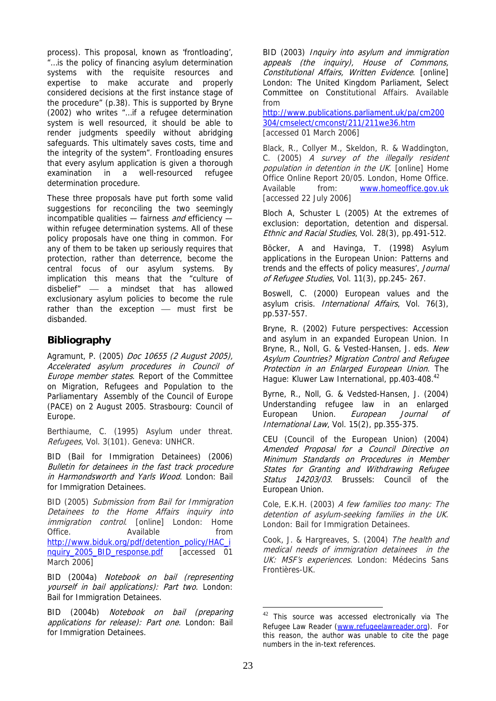process). This proposal, known as 'frontloading', "…is the policy of financing asylum determination systems with the requisite resources and expertise to make accurate and properly considered decisions at the first instance stage of the procedure" (p.38). This is supported by Bryne (2002) who writes "…if a refugee determination system is well resourced, it should be able to render judgments speedily without abridging safeguards. This ultimately saves costs, time and the integrity of the system". Frontloading ensures that every asylum application is given a thorough examination in a well-resourced refugee determination procedure.

These three proposals have put forth some valid suggestions for reconciling the two seemingly incompatible qualities  $-$  fairness and efficiency  $$ within refugee determination systems. All of these policy proposals have one thing in common. For any of them to be taken up seriously requires that protection, rather than deterrence, become the central focus of our asylum systems. By implication this means that the "culture of disbelief" — a mindset that has allowed exclusionary asylum policies to become the rule rather than the exception  $-$  must first be disbanded.

# **Bibliography**

Agramunt, P. (2005) Doc 10655 (2 August 2005), Accelerated asylum procedures in Council of Europe member states. Report of the Committee on Migration, Refugees and Population to the Parliamentary Assembly of the Council of Europe (PACE) on 2 August 2005. Strasbourg: Council of Europe.

Berthiaume, C. (1995) Asylum under threat. Refugees, Vol. 3(101). Geneva: UNHCR.

BID (Bail for Immigration Detainees) (2006) Bulletin for detainees in the fast track procedure in Harmondsworth and Yarls Wood. London: Bail for Immigration Detainees.

BID (2005) Submission from Bail for Immigration Detainees to the Home Affairs inquiry into immigration control. [online] London: Home Office. Available **havailable** from [http://www.biduk.org/pdf/detention\\_policy/HAC\\_i](http://www.biduk.org/pdf/detention_policy/HAC_i) nquiry\_2005\_BID\_response.pdf [accessed 01 March 2006]

BID (2004a) Notebook on bail (representing yourself in bail applications): Part two. London: Bail for Immigration Detainees.

BID (2004b) Notebook on bail (preparing applications for release): Part one. London: Bail for Immigration Detainees.

BID (2003) Inquiry into asylum and immigration appeals (the inquiry), House of Commons, Constitutional Affairs, Written Evidence. [online] London: The United Kingdom Parliament, Select Committee on Constitutional Affairs. Available from

<http://www.publications.parliament.uk/pa/cm200> 304/cmselect/cmconst/211/211we36.htm [accessed 01 March 2006]

Black, R., Collyer M., Skeldon, R. & Waddington, C. (2005) A survey of the illegally resident population in detention in the UK. [online] Home Office Online Report 20/05. London, Home Office. Available from: [www.homeoffice.gov.uk](http://www.homeoffice.gov.uk)  [accessed 22 July 2006]

Bloch A, Schuster L (2005) At the extremes of exclusion: deportation, detention and dispersal. Ethnic and Racial Studies, Vol. 28(3), pp.491-512.

Böcker, A and Havinga, T. (1998) Asylum applications in the European Union: Patterns and trends and the effects of policy measures', Journal of Refugee Studies, Vol. 11(3), pp.245- 267.

Boswell, C. (2000) European values and the asylum crisis. International Affairs, Vol. 76(3), pp.537-557.

Bryne, R. (2002) Future perspectives: Accession and asylum in an expanded European Union. In Bryne, R., Noll, G. & Vested-Hansen, J. eds. New Asylum Countries? Migration Control and Refugee Protection in an Enlarged European Union. The Hague: Kluwer Law International, pp.403-408.<sup>42</sup>

Byrne, R., Noll, G. & Vedsted-Hansen, J. (2004) Understanding refugee law in an enlarged European Union. *European Journal of* International Law, Vol. 15(2), pp.355-375.

CEU (Council of the European Union) (2004) Amended Proposal for a Council Directive on Minimum Standards on Procedures in Member States for Granting and Withdrawing Refugee Status 14203/03. Brussels: Council of the European Union.

Cole, E.K.H. (2003) A few families too many: The detention of asylum-seeking families in the UK. London: Bail for Immigration Detainees.

Cook, J. & Hargreaves, S. (2004) The health and medical needs of immigration detainees in the UK: MSF's experiences. London: Médecins Sans Frontières-UK.

<sup>&</sup>lt;sup>42</sup> This source was accessed electronically via The Refugee Law Reader [\(www.refugeelawreader.org\). F](http://www.refugeelawreader.org)or this reason, the author was unable to cite the page numbers in the in-text references.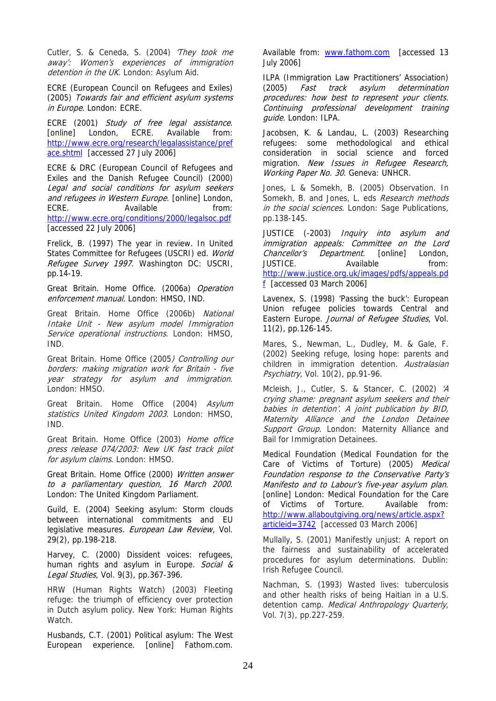Cutler, S. & Ceneda, S. (2004) 'They took me away': Women's experiences of immigration detention in the UK. London: Asylum Aid.

ECRE (European Council on Refugees and Exiles) (2005) Towards fair and efficient asylum systems in Europe. London: ECRE.

ECRE (2001) Study of free legal assistance. [online] London, ECRE. Available from: <http://www.ecre.org/research/legalassistance/pref> ace.shtml [accessed 27 July 2006]

ECRE & DRC (European Council of Refugees and Exiles and the Danish Refugee Council) (2000) Legal and social conditions for asylum seekers and refugees in Western Europe. [online] London,<br>ECRE. Available from: Available from: <http://www.ecre.org/conditions/2000/legalsoc.pdf> [accessed 22 July 2006]

Frelick, B. (1997) The year in review. In United States Committee for Refugees (USCRI) ed. World Refugee Survey 1997. Washington DC: USCRI, pp.14-19.

Great Britain. Home Office. (2006a) Operation enforcement manual. London: HMSO, IND.

Great Britain. Home Office (2006b) National Intake Unit - New asylum model Immigration Service operational instructions. London: HMSO, IND.

Great Britain. Home Office (2005*) Controlling our* borders: making migration work for Britain - five year strategy for asylum and immigration. London: HMSO.

Great Britain. Home Office (2004) Asylum statistics United Kingdom 2003. London: HMSO, IND.

Great Britain. Home Office (2003) Home office press release 074/2003: New UK fast track pilot for asylum claims. London: HMSO.

Great Britain. Home Office (2000) Written answer to a parliamentary question, 16 March 2000. London: The United Kingdom Parliament.

Guild, E. (2004) Seeking asylum: Storm clouds between international commitments and EU legislative measures. European Law Review, Vol. 29(2), pp.198-218.

Harvey, C. (2000) Dissident voices: refugees, human rights and asylum in Europe. Social & Legal Studies, Vol. 9(3), pp.367-396.

HRW (Human Rights Watch) (2003) Fleeting refuge: the triumph of efficiency over protection in Dutch asylum policy. New York: Human Rights Watch.

Husbands, C.T. (2001) Political asylum: The West European experience. [online] Fathom.com.

Available from: [www.fathom.com](http://www.fathom.com) [accessed 13 July 2006]

ILPA (Immigration Law Practitioners' Association) (2005) Fast track asylum determination procedures: how best to represent your clients. Continuing professional development training guide. London: ILPA.

Jacobsen, K. & Landau, L. (2003) Researching refugees: some methodological and ethical consideration in social science and forced migration. New Issues in Refugee Research, Working Paper No. 30. Geneva: UNHCR.

Jones, L & Somekh, B. (2005) Observation. In Somekh, B. and Jones, L. eds Research methods in the social sciences. London: Sage Publications, pp.138-145.

JUSTICE (-2003) Inquiry into asylum and immigration appeals: Committee on the Lord Chancellor's Department. [online] London, JUSTICE. Available from: <http://www.justice.org.uk/images/pdfs/appeals.pd> f [accessed 03 March 2006]

Lavenex, S. (1998) 'Passing the buck': European Union refugee policies towards Central and Eastern Europe. Journal of Refugee Studies, Vol. 11(2), pp.126-145.

Mares, S., Newman, L., Dudley, M. & Gale, F. (2002) Seeking refuge, losing hope: parents and children in immigration detention. Australasian Psychiatry, Vol. 10(2), pp.91-96.

Mcleish, J., Cutler, S. & Stancer, C. (2002) 'A crying shame: pregnant asylum seekers and their babies in detention'. A joint publication by BID, Maternity Alliance and the London Detainee Support Group. London: Maternity Alliance and Bail for Immigration Detainees.

Medical Foundation (Medical Foundation for the Care of Victims of Torture) (2005) Medical Foundation response to the Conservative Party's Manifesto and to Labour's five-year asylum plan. [online] London: Medical Foundation for the Care of Victims of Torture. Available from: <http://www.allaboutgiving.org/news/article.aspx?> articleid=3742 [accessed 03 March 2006]

Mullally, S. (2001) Manifestly unjust: A report on the fairness and sustainability of accelerated procedures for asylum determinations. Dublin: Irish Refugee Council.

Nachman, S. (1993) Wasted lives: tuberculosis and other health risks of being Haitian in a U.S. detention camp. Medical Anthropology Quarterly, Vol. 7(3), pp.227-259.